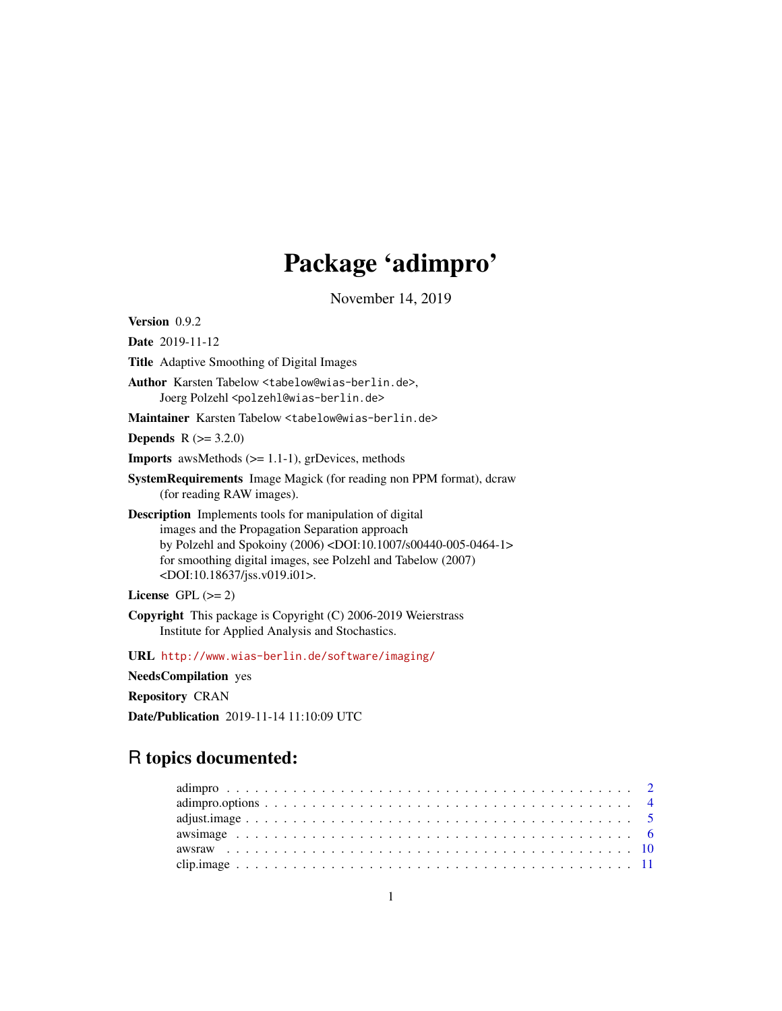# Package 'adimpro'

November 14, 2019

<span id="page-0-0"></span>Version 0.9.2

Date 2019-11-12

Title Adaptive Smoothing of Digital Images

Author Karsten Tabelow <tabelow@wias-berlin.de>, Joerg Polzehl<br/><br/>colzehl@wias-berlin.de>

Maintainer Karsten Tabelow <tabelow@wias-berlin.de>

**Depends**  $R (= 3.2.0)$ 

**Imports** awsMethods  $(>= 1.1-1)$ , grDevices, methods

SystemRequirements Image Magick (for reading non PPM format), dcraw (for reading RAW images).

Description Implements tools for manipulation of digital images and the Propagation Separation approach by Polzehl and Spokoiny (2006) <DOI:10.1007/s00440-005-0464-1> for smoothing digital images, see Polzehl and Tabelow (2007) <DOI:10.18637/jss.v019.i01>.

License GPL  $(>= 2)$ 

Copyright This package is Copyright (C) 2006-2019 Weierstrass Institute for Applied Analysis and Stochastics.

URL <http://www.wias-berlin.de/software/imaging/>

NeedsCompilation yes

Repository CRAN

Date/Publication 2019-11-14 11:10:09 UTC

# R topics documented: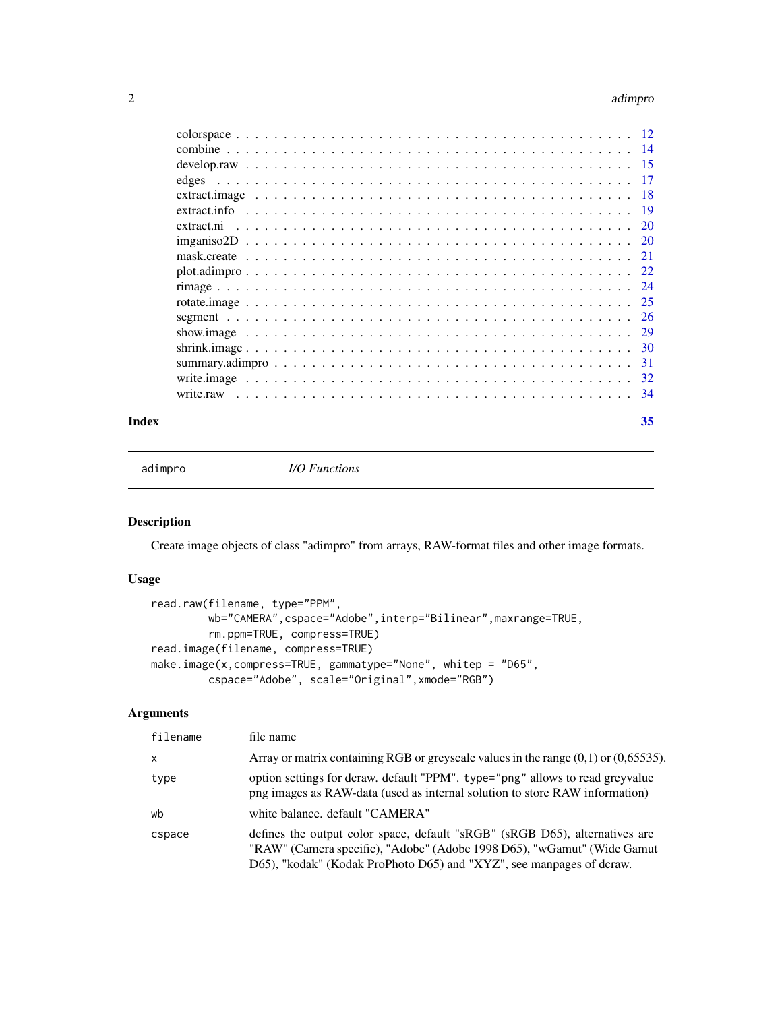#### <span id="page-1-0"></span>2 adimprovement of the contract of the contract of the contract of the contract of the contract of the contract of the contract of the contract of the contract of the contract of the contract of the contract of the contrac

#### **Index** [35](#page-34-0)

adimpro *I/O Functions*

## <span id="page-1-1"></span>Description

Create image objects of class "adimpro" from arrays, RAW-format files and other image formats.

#### Usage

```
read.raw(filename, type="PPM",
        wb="CAMERA",cspace="Adobe",interp="Bilinear",maxrange=TRUE,
        rm.ppm=TRUE, compress=TRUE)
read.image(filename, compress=TRUE)
make.image(x,compress=TRUE, gammatype="None", whitep = "D65",
        cspace="Adobe", scale="Original",xmode="RGB")
```

| filename | file name                                                                                                                                                                                                                      |
|----------|--------------------------------------------------------------------------------------------------------------------------------------------------------------------------------------------------------------------------------|
| X        | Array or matrix containing RGB or greyscale values in the range $(0,1)$ or $(0,65535)$ .                                                                                                                                       |
| type     | option settings for dcraw. default "PPM". type="png" allows to read greyvalue<br>png images as RAW-data (used as internal solution to store RAW information)                                                                   |
| wb       | white balance. default "CAMERA"                                                                                                                                                                                                |
| cspace   | defines the output color space, default "sRGB" (sRGB D65), alternatives are<br>"RAW" (Camera specific), "Adobe" (Adobe 1998 D65), "wGamut" (Wide Gamut<br>D65), "kodak" (Kodak ProPhoto D65) and "XYZ", see manpages of dcraw. |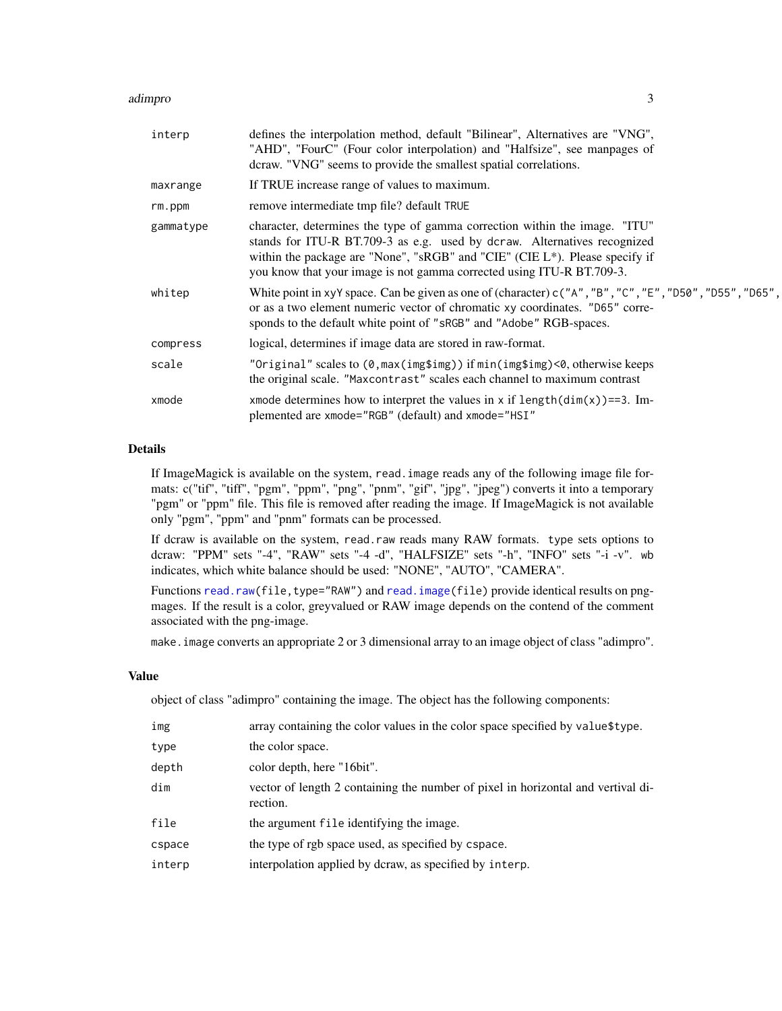#### <span id="page-2-0"></span>adimpro 3

| interp    | defines the interpolation method, default "Bilinear", Alternatives are "VNG",<br>"AHD", "FourC" (Four color interpolation) and "Halfsize", see manpages of<br>dcraw. "VNG" seems to provide the smallest spatial correlations.                                                                                 |
|-----------|----------------------------------------------------------------------------------------------------------------------------------------------------------------------------------------------------------------------------------------------------------------------------------------------------------------|
| maxrange  | If TRUE increase range of values to maximum.                                                                                                                                                                                                                                                                   |
| rm.ppm    | remove intermediate tmp file? default TRUE                                                                                                                                                                                                                                                                     |
| gammatype | character, determines the type of gamma correction within the image. "ITU"<br>stands for ITU-R BT.709-3 as e.g. used by dcraw. Alternatives recognized<br>within the package are "None", "sRGB" and "CIE" (CIE L*). Please specify if<br>you know that your image is not gamma corrected using ITU-R BT.709-3. |
| whitep    | White point in xyY space. Can be given as one of (character) $c("A", "B", "C", "E", "D50", "D55", "D65",$<br>or as a two element numeric vector of chromatic xy coordinates. "D65" corre-<br>sponds to the default white point of "sRGB" and "Adobe" RGB-spaces.                                               |
| compress  | logical, determines if image data are stored in raw-format.                                                                                                                                                                                                                                                    |
| scale     | "Original" scales to (0, max(img\$img)) if min(img\$img)<0, otherwise keeps<br>the original scale. "Maxcontrast" scales each channel to maximum contrast                                                                                                                                                       |
| xmode     | xmode determines how to interpret the values in x if $length(dim(x)) == 3$ . Im-<br>plemented are xmode="RGB" (default) and xmode="HSI"                                                                                                                                                                        |

## Details

If ImageMagick is available on the system, read.image reads any of the following image file formats: c("tif", "tiff", "pgm", "ppm", "png", "pnm", "gif", "jpg", "jpeg") converts it into a temporary "pgm" or "ppm" file. This file is removed after reading the image. If ImageMagick is not available only "pgm", "ppm" and "pnm" formats can be processed.

If dcraw is available on the system, read.raw reads many RAW formats. type sets options to dcraw: "PPM" sets "-4", "RAW" sets "-4 -d", "HALFSIZE" sets "-h", "INFO" sets "-i -v". wb indicates, which white balance should be used: "NONE", "AUTO", "CAMERA".

Functions [read.raw\(](#page-1-1)file,type="RAW") and [read.image\(](#page-1-1)file) provide identical results on pngmages. If the result is a color, greyvalued or RAW image depends on the contend of the comment associated with the png-image.

make.image converts an appropriate 2 or 3 dimensional array to an image object of class "adimpro".

#### Value

object of class "adimpro" containing the image. The object has the following components:

| img    | array containing the color values in the color space specified by value\$type.               |
|--------|----------------------------------------------------------------------------------------------|
| type   | the color space.                                                                             |
| depth  | color depth, here "16bit".                                                                   |
| dim    | vector of length 2 containing the number of pixel in horizontal and vertival di-<br>rection. |
| file   | the argument file identifying the image.                                                     |
| cspace | the type of rgb space used, as specified by cspace.                                          |
| interp | interpolation applied by dcraw, as specified by interp.                                      |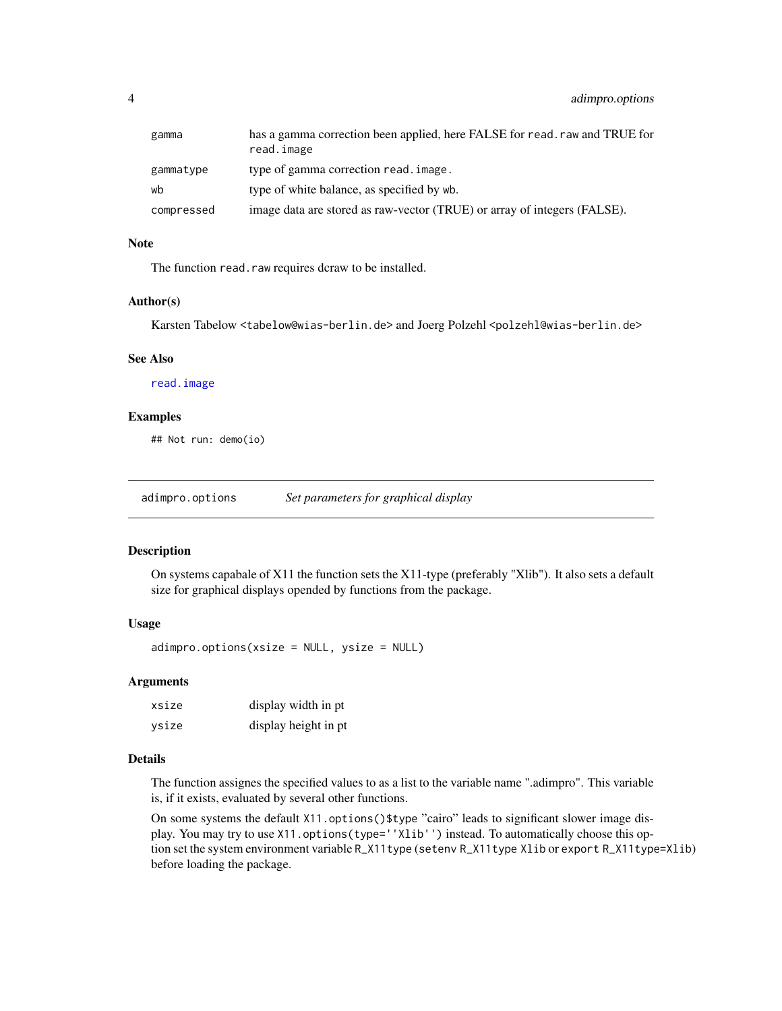<span id="page-3-0"></span>

| gamma      | has a gamma correction been applied, here FALSE for read, raw and TRUE for<br>read.image |
|------------|------------------------------------------------------------------------------------------|
| gammatype  | type of gamma correction read, image.                                                    |
| wb         | type of white balance, as specified by wb.                                               |
| compressed | image data are stored as raw-vector (TRUE) or array of integers (FALSE).                 |

#### Note

The function read.raw requires dcraw to be installed.

## Author(s)

Karsten Tabelow <tabelow@wias-berlin.de> and Joerg Polzehl <polzehl@wias-berlin.de>

#### See Also

[read.image](#page-1-1)

## Examples

## Not run: demo(io)

adimpro.options *Set parameters for graphical display*

#### Description

On systems capabale of X11 the function sets the X11-type (preferably "Xlib"). It also sets a default size for graphical displays opended by functions from the package.

## Usage

adimpro.options(xsize = NULL, ysize = NULL)

## Arguments

| xsize | display width in pt. |
|-------|----------------------|
| ysize | display height in pt |

#### Details

The function assignes the specified values to as a list to the variable name ".adimpro". This variable is, if it exists, evaluated by several other functions.

On some systems the default X11.options()\$type "cairo" leads to significant slower image display. You may try to use X11.options(type=''Xlib'') instead. To automatically choose this option set the system environment variable R\_X11type (setenv R\_X11type Xlib or export R\_X11type=Xlib) before loading the package.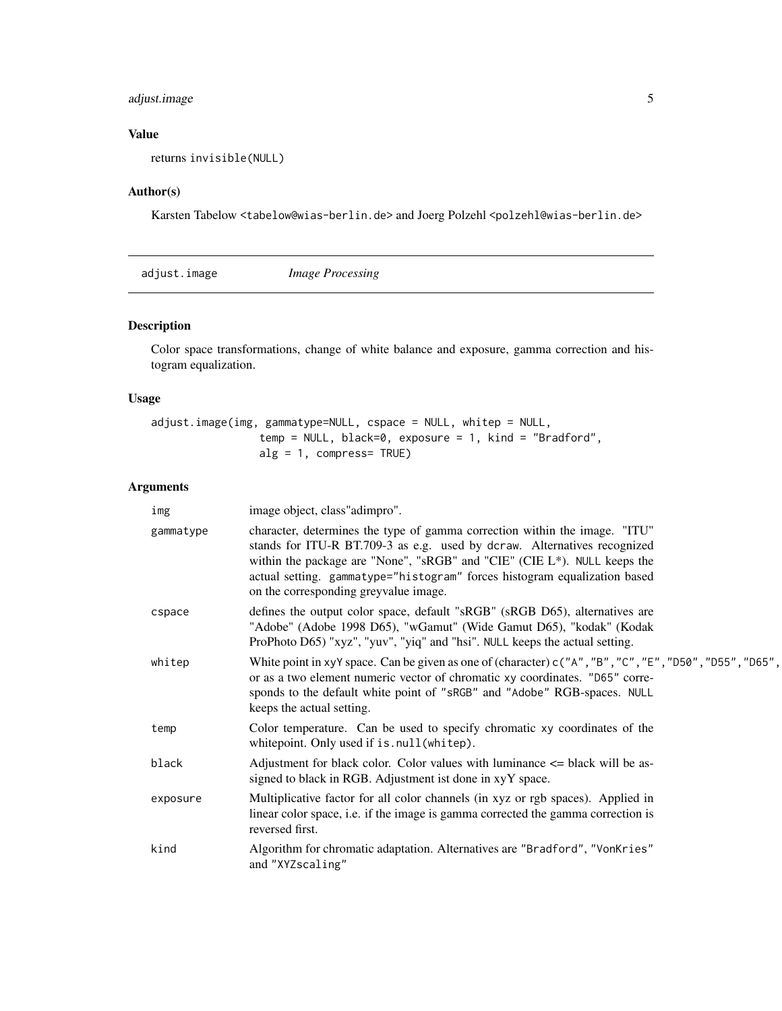## <span id="page-4-0"></span>adjust.image 5

## Value

returns invisible(NULL)

## Author(s)

Karsten Tabelow <tabelow@wias-berlin.de> and Joerg Polzehl <polzehl@wias-berlin.de>

<span id="page-4-1"></span>

| adjust.image | <i>Image Processing</i> |  |
|--------------|-------------------------|--|
|--------------|-------------------------|--|

## Description

Color space transformations, change of white balance and exposure, gamma correction and histogram equalization.

## Usage

adjust.image(img, gammatype=NULL, cspace = NULL, whitep = NULL, temp = NULL, black=0, exposure = 1, kind = "Bradford", alg = 1, compress= TRUE)

| img       | image object, class" adimpro".                                                                                                                                                                                                                                                                                                                           |
|-----------|----------------------------------------------------------------------------------------------------------------------------------------------------------------------------------------------------------------------------------------------------------------------------------------------------------------------------------------------------------|
| gammatype | character, determines the type of gamma correction within the image. "ITU"<br>stands for ITU-R BT.709-3 as e.g. used by dcraw. Alternatives recognized<br>within the package are "None", "sRGB" and "CIE" (CIE L*). NULL keeps the<br>actual setting. gammatype="histogram" forces histogram equalization based<br>on the corresponding greyvalue image. |
| cspace    | defines the output color space, default "sRGB" (sRGB D65), alternatives are<br>"Adobe" (Adobe 1998 D65), "wGamut" (Wide Gamut D65), "kodak" (Kodak<br>ProPhoto D65) "xyz", "yuv", "yiq" and "hsi". NULL keeps the actual setting.                                                                                                                        |
| whitep    | White point in xyY space. Can be given as one of (character) $c("A", "B", "C", "E", "D50", "D55", "D65",$<br>or as a two element numeric vector of chromatic xy coordinates. "D65" corre-<br>sponds to the default white point of "sRGB" and "Adobe" RGB-spaces. NULL<br>keeps the actual setting.                                                       |
| temp      | Color temperature. Can be used to specify chromatic xy coordinates of the<br>whitepoint. Only used if is.null(whitep).                                                                                                                                                                                                                                   |
| black     | Adjustment for black color. Color values with luminance $\leq$ black will be as-<br>signed to black in RGB. Adjustment ist done in xyY space.                                                                                                                                                                                                            |
| exposure  | Multiplicative factor for all color channels (in xyz or rgb spaces). Applied in<br>linear color space, i.e. if the image is gamma corrected the gamma correction is<br>reversed first.                                                                                                                                                                   |
| kind      | Algorithm for chromatic adaptation. Alternatives are "Bradford", "VonKries"<br>and "XYZscaling"                                                                                                                                                                                                                                                          |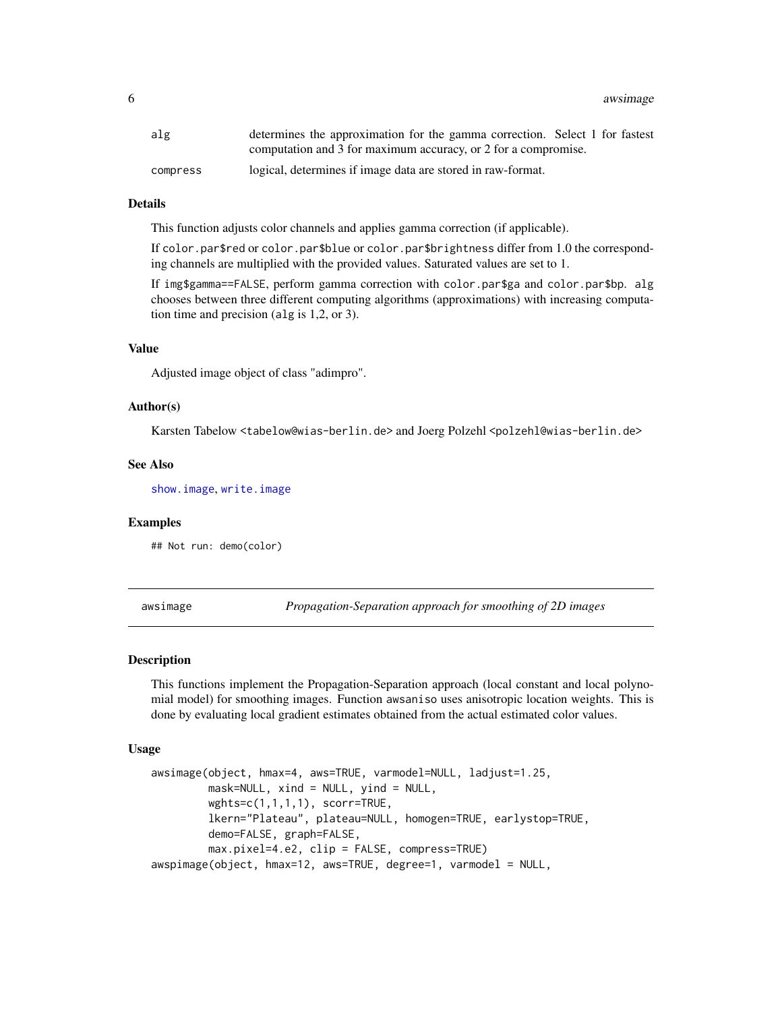<span id="page-5-0"></span>6 awsimage between the control of the control of the control of the control of the control of the control of the control of the control of the control of the control of the control of the control of the control of the cont

| alg      | determines the approximation for the gamma correction. Select 1 for fastest |
|----------|-----------------------------------------------------------------------------|
|          | computation and 3 for maximum accuracy, or 2 for a compromise.              |
| compress | logical, determines if image data are stored in raw-format.                 |

#### Details

This function adjusts color channels and applies gamma correction (if applicable).

If color.par\$red or color.par\$blue or color.par\$brightness differ from 1.0 the corresponding channels are multiplied with the provided values. Saturated values are set to 1.

If img\$gamma==FALSE, perform gamma correction with color.par\$ga and color.par\$bp. alg chooses between three different computing algorithms (approximations) with increasing computation time and precision (alg is 1,2, or 3).

#### Value

Adjusted image object of class "adimpro".

#### Author(s)

Karsten Tabelow <tabelow@wias-berlin.de> and Joerg Polzehl <polzehl@wias-berlin.de>

#### See Also

[show.image](#page-28-1), [write.image](#page-31-1)

#### Examples

## Not run: demo(color)

<span id="page-5-1"></span>awsimage *Propagation-Separation approach for smoothing of 2D images*

#### <span id="page-5-2"></span>Description

This functions implement the Propagation-Separation approach (local constant and local polynomial model) for smoothing images. Function awsaniso uses anisotropic location weights. This is done by evaluating local gradient estimates obtained from the actual estimated color values.

#### Usage

```
awsimage(object, hmax=4, aws=TRUE, varmodel=NULL, ladjust=1.25,
        mask=NULL, xind = NULL, yind = NULL,
        wghts=c(1,1,1,1), scorr=TRUE,
         lkern="Plateau", plateau=NULL, homogen=TRUE, earlystop=TRUE,
         demo=FALSE, graph=FALSE,
        max.pixel=4.e2, clip = FALSE, compress=TRUE)
awspimage(object, hmax=12, aws=TRUE, degree=1, varmodel = NULL,
```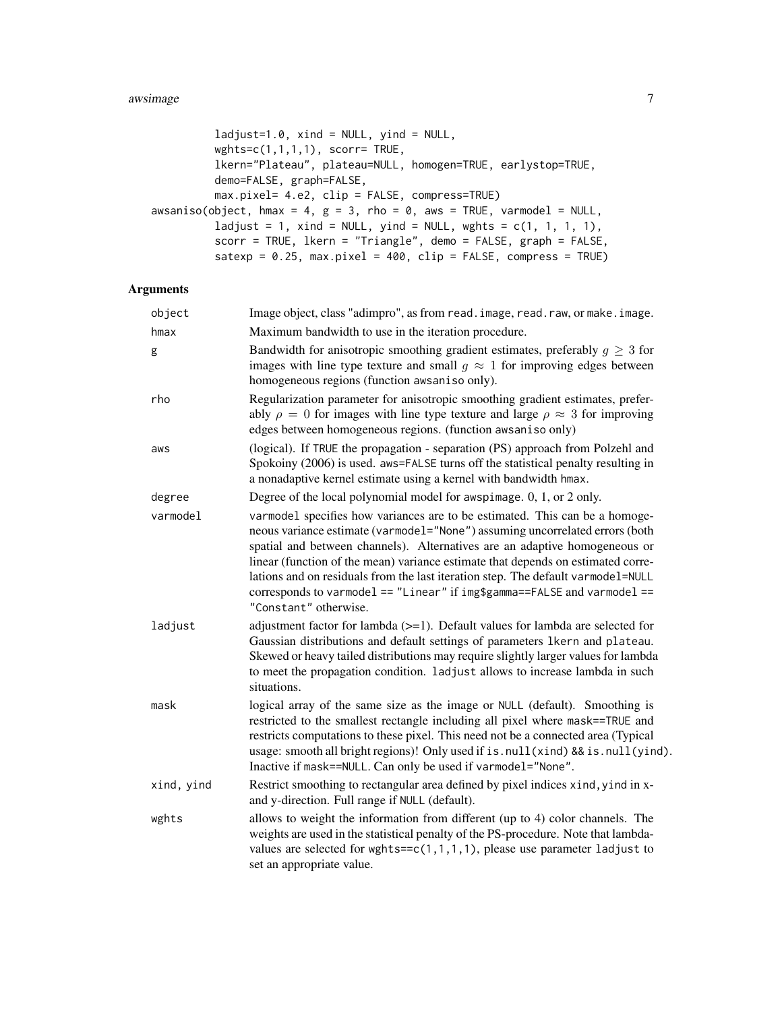#### awsimage 7 and 2008 and 2008 and 2008 and 2008 and 2008 and 2008 and 2008 and 2008 and 2008 and 2008 and 2008 and 2008 and 2008 and 2008 and 2008 and 2008 and 2008 and 2008 and 2008 and 2008 and 2008 and 2008 and 2008 and

```
ladjust=1.0, xind = NULL, yind = NULL,wghts=c(1,1,1,1), scorr= TRUE,
         lkern="Plateau", plateau=NULL, homogen=TRUE, earlystop=TRUE,
         demo=FALSE, graph=FALSE,
         max.pixel= 4.e2, clip = FALSE, compress=TRUE)
awsaniso(object, hmax = 4, g = 3, rho = 0, aws = TRUE, varmodel = NULL,
         ladjust = 1, xind = NULL, yind = NULL, wghts = c(1, 1, 1, 1),
         scorr = TRUE, lkern = "Triangle", demo = FALSE, graph = FALSE,
         satexp = 0.25, max.pixel = 400, clip = FALSE, compress = TRUE)
```

| object     | Image object, class "adimpro", as from read. image, read. raw, or make. image.                                                                                                                                                                                                                                                                                                                                                                                                                                         |
|------------|------------------------------------------------------------------------------------------------------------------------------------------------------------------------------------------------------------------------------------------------------------------------------------------------------------------------------------------------------------------------------------------------------------------------------------------------------------------------------------------------------------------------|
| hmax       | Maximum bandwidth to use in the iteration procedure.                                                                                                                                                                                                                                                                                                                                                                                                                                                                   |
| g          | Bandwidth for anisotropic smoothing gradient estimates, preferably $g \geq 3$ for<br>images with line type texture and small $q \approx 1$ for improving edges between<br>homogeneous regions (function awsaniso only).                                                                                                                                                                                                                                                                                                |
| rho        | Regularization parameter for anisotropic smoothing gradient estimates, prefer-<br>ably $\rho = 0$ for images with line type texture and large $\rho \approx 3$ for improving<br>edges between homogeneous regions. (function awsaniso only)                                                                                                                                                                                                                                                                            |
| aws        | (logical). If TRUE the propagation - separation (PS) approach from Polzehl and<br>Spokoiny (2006) is used. aws=FALSE turns off the statistical penalty resulting in<br>a nonadaptive kernel estimate using a kernel with bandwidth hmax.                                                                                                                                                                                                                                                                               |
| degree     | Degree of the local polynomial model for awspimage. $0, 1,$ or $2$ only.                                                                                                                                                                                                                                                                                                                                                                                                                                               |
| varmodel   | varmodel specifies how variances are to be estimated. This can be a homoge-<br>neous variance estimate (varmodel="None") assuming uncorrelated errors (both<br>spatial and between channels). Alternatives are an adaptive homogeneous or<br>linear (function of the mean) variance estimate that depends on estimated corre-<br>lations and on residuals from the last iteration step. The default varmodel=NULL<br>corresponds to varmodel == "Linear" if img\$gamma==FALSE and varmodel ==<br>"Constant" otherwise. |
| ladjust    | adjustment factor for lambda (>=1). Default values for lambda are selected for<br>Gaussian distributions and default settings of parameters 1kern and plateau.<br>Skewed or heavy tailed distributions may require slightly larger values for lambda<br>to meet the propagation condition. ladjust allows to increase lambda in such<br>situations.                                                                                                                                                                    |
| mask       | logical array of the same size as the image or NULL (default). Smoothing is<br>restricted to the smallest rectangle including all pixel where mask==TRUE and<br>restricts computations to these pixel. This need not be a connected area (Typical<br>usage: smooth all bright regions)! Only used if is.null(xind) && is.null(yind).<br>Inactive if mask==NULL. Can only be used if varmodel="None".                                                                                                                   |
| xind, yind | Restrict smoothing to rectangular area defined by pixel indices xind, yind in x-<br>and y-direction. Full range if NULL (default).                                                                                                                                                                                                                                                                                                                                                                                     |
| wghts      | allows to weight the information from different (up to 4) color channels. The<br>weights are used in the statistical penalty of the PS-procedure. Note that lambda-<br>values are selected for wghts= $-c(1,1,1,1)$ , please use parameter ladjust to<br>set an appropriate value.                                                                                                                                                                                                                                     |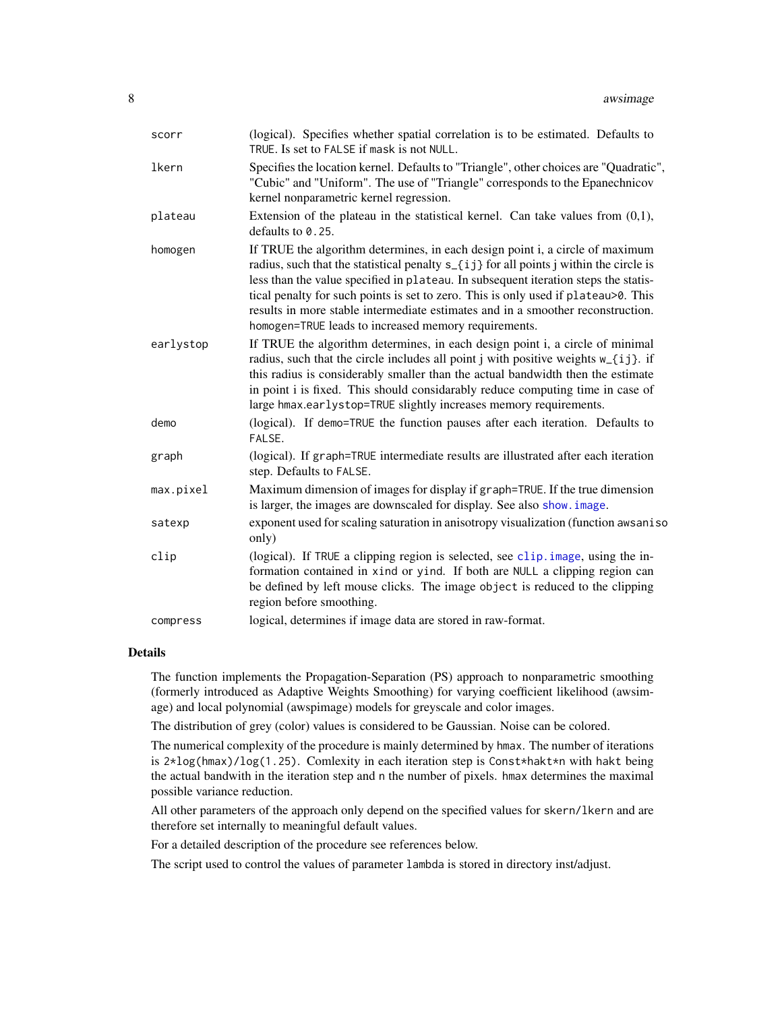<span id="page-7-0"></span>

| scorr     | (logical). Specifies whether spatial correlation is to be estimated. Defaults to<br>TRUE. Is set to FALSE if mask is not NULL.                                                                                                                                                                                                                                                                                                                                                                       |
|-----------|------------------------------------------------------------------------------------------------------------------------------------------------------------------------------------------------------------------------------------------------------------------------------------------------------------------------------------------------------------------------------------------------------------------------------------------------------------------------------------------------------|
| lkern     | Specifies the location kernel. Defaults to "Triangle", other choices are "Quadratic",<br>"Cubic" and "Uniform". The use of "Triangle" corresponds to the Epanechnicov<br>kernel nonparametric kernel regression.                                                                                                                                                                                                                                                                                     |
| plateau   | Extension of the plateau in the statistical kernel. Can take values from $(0,1)$ ,<br>defaults to $0.25$ .                                                                                                                                                                                                                                                                                                                                                                                           |
| homogen   | If TRUE the algorithm determines, in each design point i, a circle of maximum<br>radius, such that the statistical penalty $s_{i}$ (i) for all points j within the circle is<br>less than the value specified in plateau. In subsequent iteration steps the statis-<br>tical penalty for such points is set to zero. This is only used if plateau>0. This<br>results in more stable intermediate estimates and in a smoother reconstruction.<br>homogen=TRUE leads to increased memory requirements. |
| earlystop | If TRUE the algorithm determines, in each design point i, a circle of minimal<br>radius, such that the circle includes all point j with positive weights w_{ij}. if<br>this radius is considerably smaller than the actual bandwidth then the estimate<br>in point i is fixed. This should considarably reduce computing time in case of<br>large hmax.earlystop=TRUE slightly increases memory requirements.                                                                                        |
| demo      | (logical). If demo=TRUE the function pauses after each iteration. Defaults to<br>FALSE.                                                                                                                                                                                                                                                                                                                                                                                                              |
| graph     | (logical). If graph=TRUE intermediate results are illustrated after each iteration<br>step. Defaults to FALSE.                                                                                                                                                                                                                                                                                                                                                                                       |
| max.pixel | Maximum dimension of images for display if graph=TRUE. If the true dimension<br>is larger, the images are downscaled for display. See also show. image.                                                                                                                                                                                                                                                                                                                                              |
| satexp    | exponent used for scaling saturation in anisotropy visualization (function awsaniso<br>only)                                                                                                                                                                                                                                                                                                                                                                                                         |
| clip      | (logical). If TRUE a clipping region is selected, see clip. image, using the in-<br>formation contained in xind or yind. If both are NULL a clipping region can<br>be defined by left mouse clicks. The image object is reduced to the clipping<br>region before smoothing.                                                                                                                                                                                                                          |
| compress  | logical, determines if image data are stored in raw-format.                                                                                                                                                                                                                                                                                                                                                                                                                                          |

#### Details

The function implements the Propagation-Separation (PS) approach to nonparametric smoothing (formerly introduced as Adaptive Weights Smoothing) for varying coefficient likelihood (awsimage) and local polynomial (awspimage) models for greyscale and color images.

The distribution of grey (color) values is considered to be Gaussian. Noise can be colored.

The numerical complexity of the procedure is mainly determined by hmax. The number of iterations is  $2 \times \log(\text{hmax}) / \log(1.25)$ . Comlexity in each iteration step is Const $\star$ hakt $\star$ n with hakt being the actual bandwith in the iteration step and n the number of pixels. hmax determines the maximal possible variance reduction.

All other parameters of the approach only depend on the specified values for skern/lkern and are therefore set internally to meaningful default values.

For a detailed description of the procedure see references below.

The script used to control the values of parameter lambda is stored in directory inst/adjust.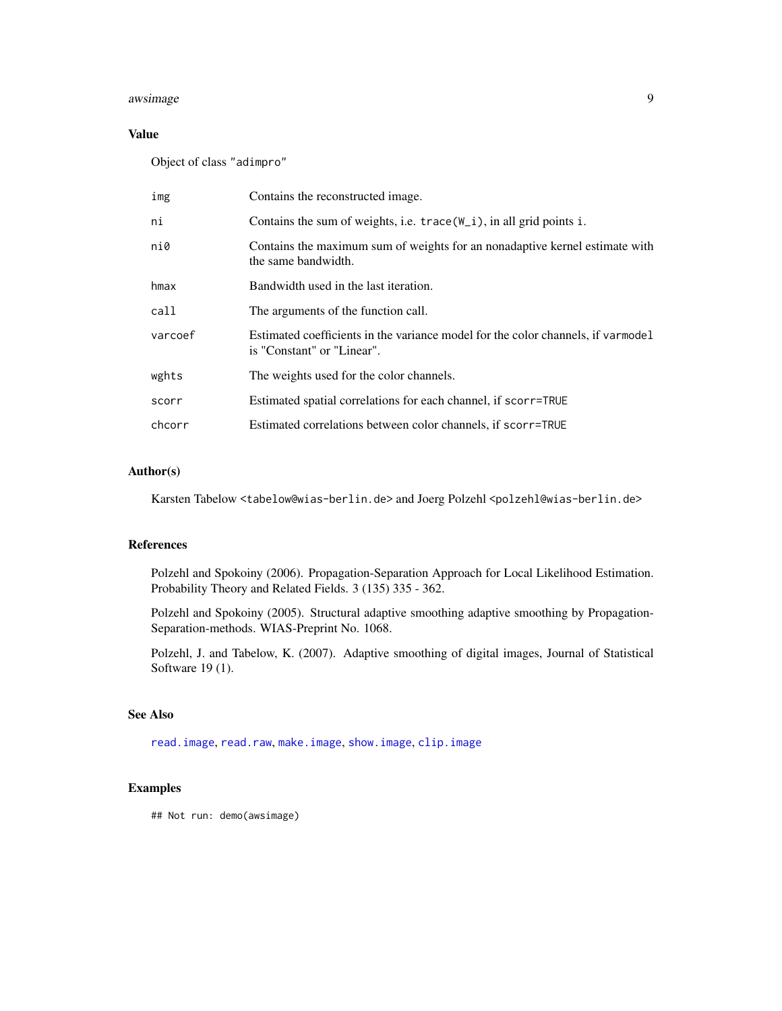#### <span id="page-8-0"></span>awsimage 9 and 2012 12:30 and 2012 12:30 and 2012 12:30 and 2012 12:30 and 2012 12:30 and 2012 12:30 and 2012

## Value

Object of class "adimpro"

| img     | Contains the reconstructed image.                                                                              |
|---------|----------------------------------------------------------------------------------------------------------------|
| ni      | Contains the sum of weights, i.e. $trace(W_i)$ , in all grid points i.                                         |
| ni0     | Contains the maximum sum of weights for an nonadaptive kernel estimate with<br>the same bandwidth.             |
| hmax    | Bandwidth used in the last iteration.                                                                          |
| call    | The arguments of the function call.                                                                            |
| varcoef | Estimated coefficients in the variance model for the color channels, if varmodel<br>is "Constant" or "Linear". |
| wghts   | The weights used for the color channels.                                                                       |
| scorr   | Estimated spatial correlations for each channel, if scorr=TRUE                                                 |
| chcorr  | Estimated correlations between color channels, if scorr=TRUE                                                   |

## Author(s)

Karsten Tabelow <tabelow@wias-berlin.de> and Joerg Polzehl <polzehl@wias-berlin.de>

#### References

Polzehl and Spokoiny (2006). Propagation-Separation Approach for Local Likelihood Estimation. Probability Theory and Related Fields. 3 (135) 335 - 362.

Polzehl and Spokoiny (2005). Structural adaptive smoothing adaptive smoothing by Propagation-Separation-methods. WIAS-Preprint No. 1068.

Polzehl, J. and Tabelow, K. (2007). Adaptive smoothing of digital images, Journal of Statistical Software 19 (1).

#### See Also

[read.image](#page-1-1), [read.raw](#page-1-1), [make.image](#page-1-1), [show.image](#page-28-1), [clip.image](#page-10-1)

#### Examples

## Not run: demo(awsimage)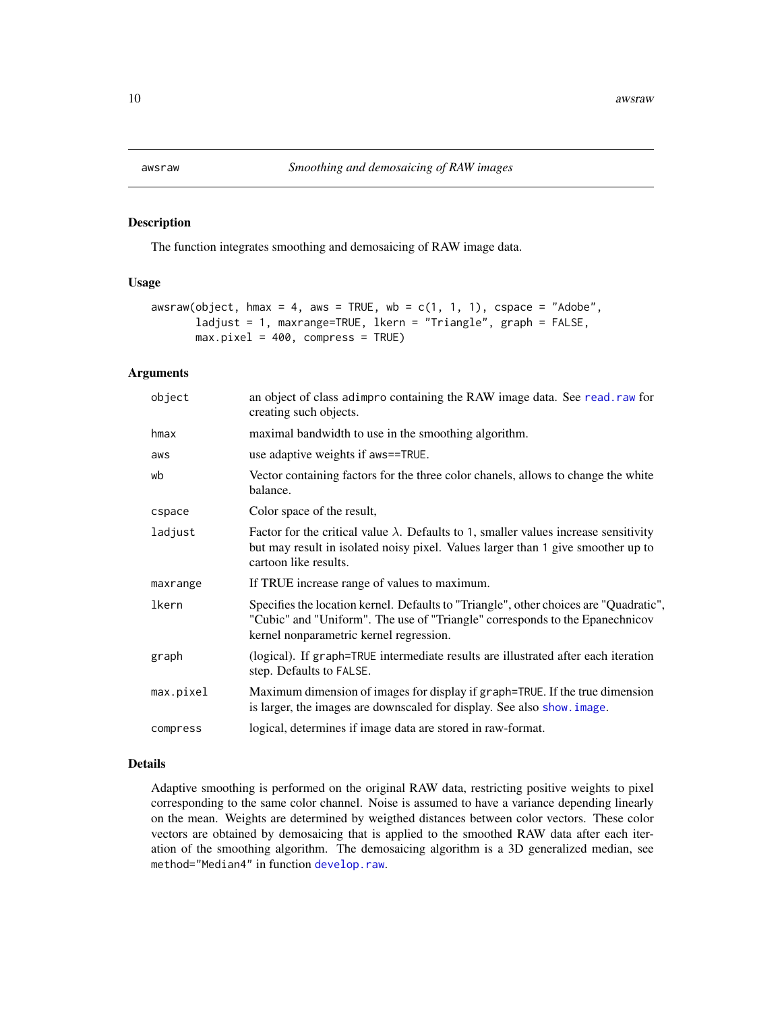<span id="page-9-0"></span>

#### Description

The function integrates smoothing and demosaicing of RAW image data.

### Usage

```
awsraw(object, hmax = 4, aws = TRUE, wb = c(1, 1, 1), cspace = "Adobe",ladjust = 1, maxrange=TRUE, lkern = "Triangle", graph = FALSE,
      max.pixel = 400, compress = TRUE)
```
#### Arguments

| object    | an object of class adimpro containing the RAW image data. See read. raw for<br>creating such objects.                                                                                                            |
|-----------|------------------------------------------------------------------------------------------------------------------------------------------------------------------------------------------------------------------|
| hmax      | maximal bandwidth to use in the smoothing algorithm.                                                                                                                                                             |
| aws       | use adaptive weights if aws==TRUE.                                                                                                                                                                               |
| wb        | Vector containing factors for the three color chanels, allows to change the white<br>balance.                                                                                                                    |
| cspace    | Color space of the result,                                                                                                                                                                                       |
| ladjust   | Factor for the critical value $\lambda$ . Defaults to 1, smaller values increase sensitivity<br>but may result in isolated noisy pixel. Values larger than 1 give smoother up to<br>cartoon like results.        |
| maxrange  | If TRUE increase range of values to maximum.                                                                                                                                                                     |
| lkern     | Specifies the location kernel. Defaults to "Triangle", other choices are "Quadratic",<br>"Cubic" and "Uniform". The use of "Triangle" corresponds to the Epanechnicov<br>kernel nonparametric kernel regression. |
| graph     | (logical). If graph=TRUE intermediate results are illustrated after each iteration<br>step. Defaults to FALSE.                                                                                                   |
| max.pixel | Maximum dimension of images for display if graph=TRUE. If the true dimension<br>is larger, the images are downscaled for display. See also show, image.                                                          |
| compress  | logical, determines if image data are stored in raw-format.                                                                                                                                                      |
|           |                                                                                                                                                                                                                  |

#### Details

Adaptive smoothing is performed on the original RAW data, restricting positive weights to pixel corresponding to the same color channel. Noise is assumed to have a variance depending linearly on the mean. Weights are determined by weigthed distances between color vectors. These color vectors are obtained by demosaicing that is applied to the smoothed RAW data after each iteration of the smoothing algorithm. The demosaicing algorithm is a 3D generalized median, see method="Median4" in function [develop.raw](#page-14-1).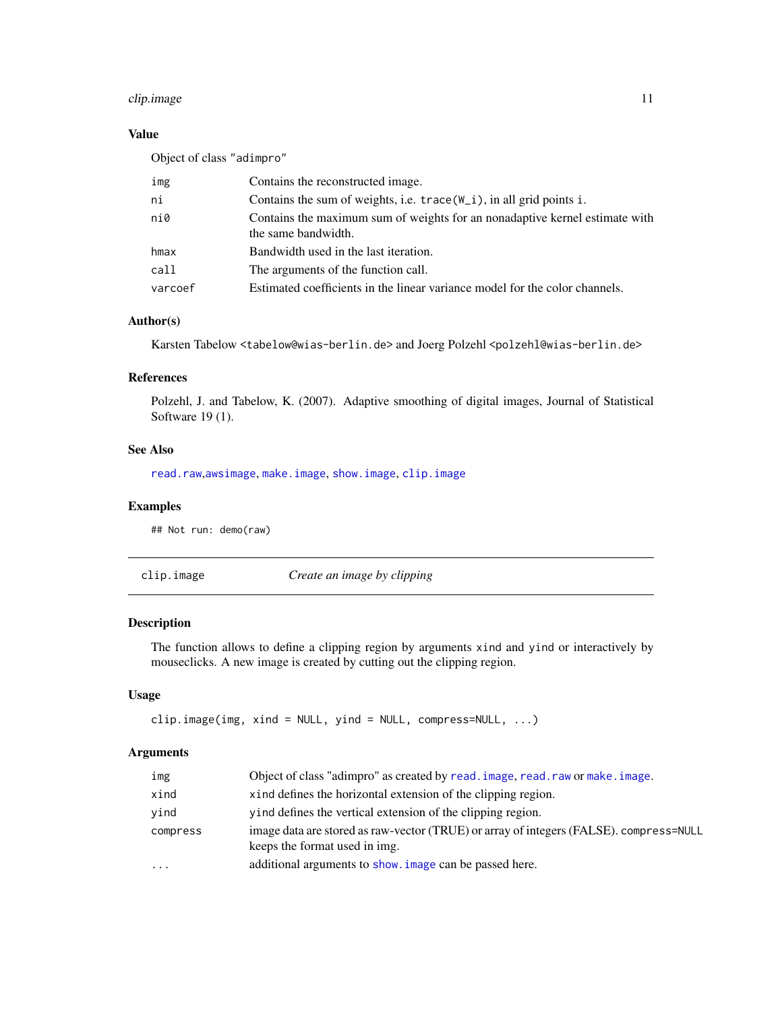## <span id="page-10-0"></span>clip.image 11

## Value

| Object of class "adimpro" |                                                                                                    |
|---------------------------|----------------------------------------------------------------------------------------------------|
| img                       | Contains the reconstructed image.                                                                  |
| ni                        | Contains the sum of weights, i.e. $trace(W_i)$ , in all grid points i.                             |
| ni0                       | Contains the maximum sum of weights for an nonadaptive kernel estimate with<br>the same bandwidth. |
| hmax                      | Bandwidth used in the last iteration.                                                              |
| call                      | The arguments of the function call.                                                                |
| varcoef                   | Estimated coefficients in the linear variance model for the color channels.                        |

### Author(s)

Karsten Tabelow <tabelow@wias-berlin.de> and Joerg Polzehl <polzehl@wias-berlin.de>

## References

Polzehl, J. and Tabelow, K. (2007). Adaptive smoothing of digital images, Journal of Statistical Software 19 (1).

## See Also

[read.raw](#page-1-1),[awsimage](#page-5-1), [make.image](#page-1-1), [show.image](#page-28-1), [clip.image](#page-10-1)

## Examples

## Not run: demo(raw)

<span id="page-10-1"></span>clip.image *Create an image by clipping*

## Description

The function allows to define a clipping region by arguments xind and yind or interactively by mouseclicks. A new image is created by cutting out the clipping region.

## Usage

```
clip.image(img, xind = NULL, yind = NULL, compress=NULL, ...)
```

| img       | Object of class "adimpro" as created by read. image, read. raw or make. image.                                          |
|-----------|-------------------------------------------------------------------------------------------------------------------------|
| xind      | xind defines the horizontal extension of the clipping region.                                                           |
| vind      | yind defines the vertical extension of the clipping region.                                                             |
| compress  | image data are stored as raw-vector (TRUE) or array of integers (FALSE). compress=NULL<br>keeps the format used in img. |
| $\ddotsc$ | additional arguments to show. image can be passed here.                                                                 |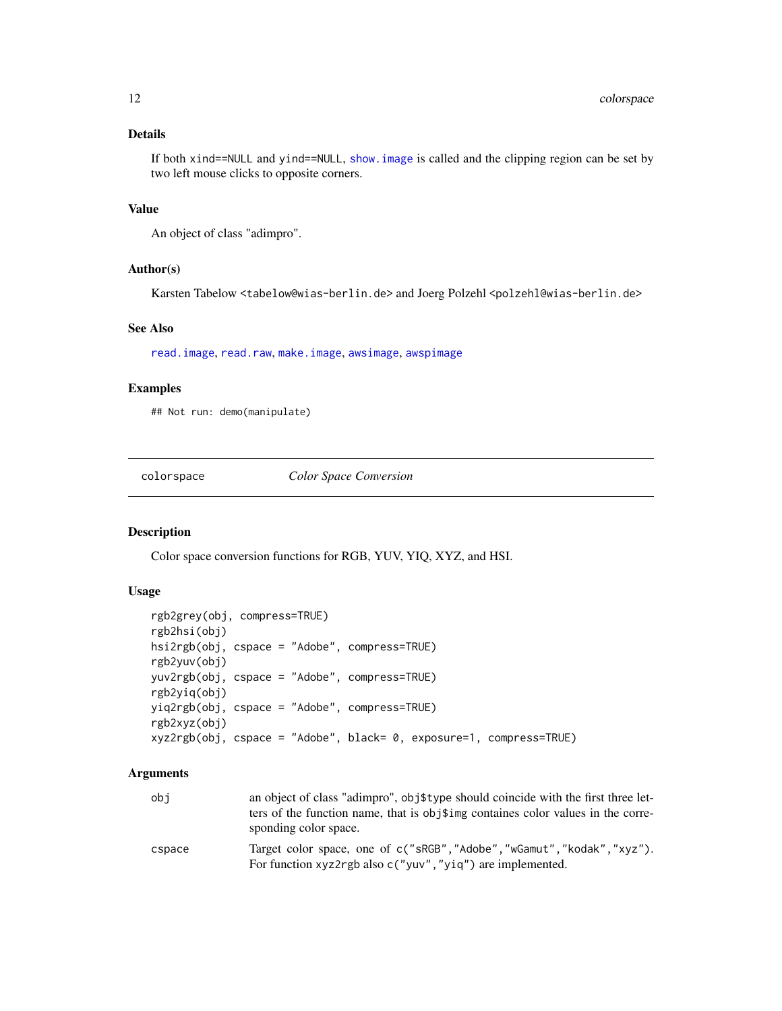## <span id="page-11-0"></span>Details

If both xind==NULL and yind==NULL, [show.image](#page-28-1) is called and the clipping region can be set by two left mouse clicks to opposite corners.

## Value

An object of class "adimpro".

#### Author(s)

Karsten Tabelow <tabelow@wias-berlin.de> and Joerg Polzehl <polzehl@wias-berlin.de>

## See Also

[read.image](#page-1-1), [read.raw](#page-1-1), [make.image](#page-1-1), [awsimage](#page-5-1), [awspimage](#page-5-2)

## Examples

## Not run: demo(manipulate)

colorspace *Color Space Conversion*

#### Description

Color space conversion functions for RGB, YUV, YIQ, XYZ, and HSI.

## Usage

```
rgb2grey(obj, compress=TRUE)
rgb2hsi(obj)
hsi2rgb(obj, cspace = "Adobe", compress=TRUE)
rgb2yuv(obj)
yuv2rgb(obj, cspace = "Adobe", compress=TRUE)
rgb2yiq(obj)
yiq2rgb(obj, cspace = "Adobe", compress=TRUE)
rgb2xyz(obj)
xyz2rgb(obj, cspace = "Adobe", black= 0, exposure=1, compress=TRUE)
```

| obi    | an object of class "adimpro", obj\$type should coincide with the first three let-<br>ters of the function name, that is obj\$img containes color values in the corre-<br>sponding color space. |
|--------|------------------------------------------------------------------------------------------------------------------------------------------------------------------------------------------------|
| cspace | Target color space, one of c("sRGB","Adobe","wGamut","kodak","xyz").<br>For function xyz2rgb also $c("yw", "yiq")$ are implemented.                                                            |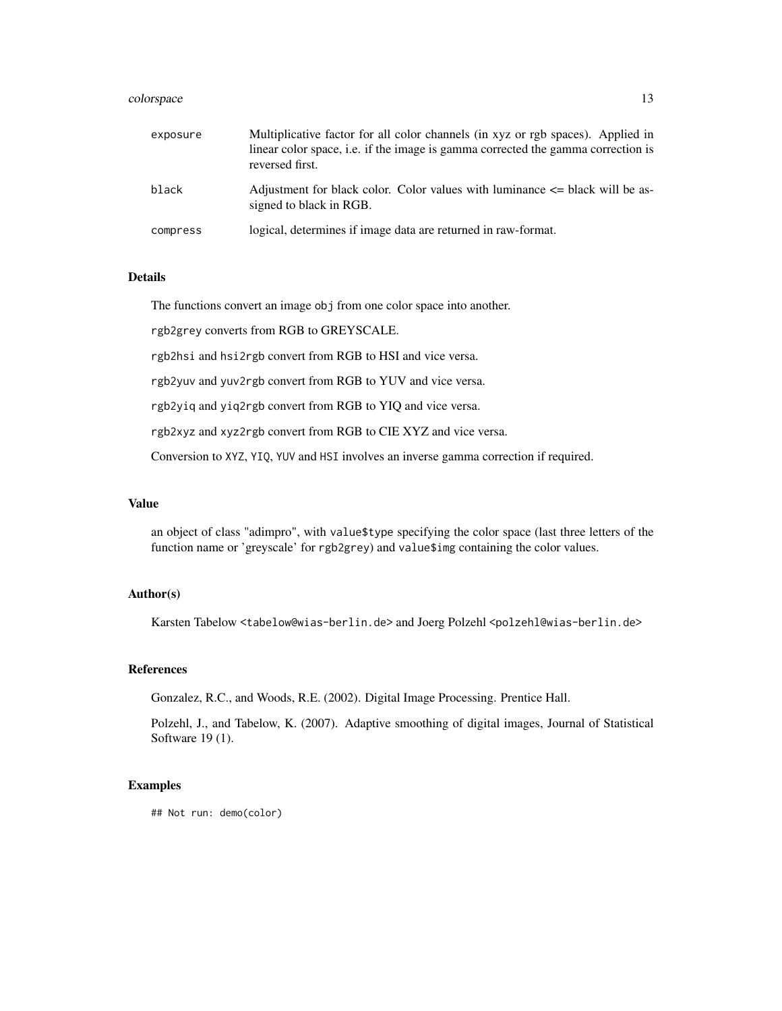#### colorspace that the colorspace that the colorspace of the colorspace of the colorspace of the colorspace of the colorspace of the colorspace of the colorspace of the colorspace of the colorspace of the colorspace of the co

| exposure | Multiplicative factor for all color channels (in xyz or rgb spaces). Applied in<br>linear color space, i.e. if the image is gamma corrected the gamma correction is<br>reversed first. |
|----------|----------------------------------------------------------------------------------------------------------------------------------------------------------------------------------------|
| black    | Adjustment for black color. Color values with luminance $\leq$ black will be as-<br>signed to black in RGB.                                                                            |
| compress | logical, determines if image data are returned in raw-format.                                                                                                                          |

## Details

The functions convert an image obj from one color space into another.

rgb2grey converts from RGB to GREYSCALE.

rgb2hsi and hsi2rgb convert from RGB to HSI and vice versa.

rgb2yuv and yuv2rgb convert from RGB to YUV and vice versa.

rgb2yiq and yiq2rgb convert from RGB to YIQ and vice versa.

rgb2xyz and xyz2rgb convert from RGB to CIE XYZ and vice versa.

Conversion to XYZ, YIQ, YUV and HSI involves an inverse gamma correction if required.

#### Value

an object of class "adimpro", with value\$type specifying the color space (last three letters of the function name or 'greyscale' for rgb2grey) and value\$img containing the color values.

## Author(s)

Karsten Tabelow <tabelow@wias-berlin.de> and Joerg Polzehl <polzehl@wias-berlin.de>

#### References

Gonzalez, R.C., and Woods, R.E. (2002). Digital Image Processing. Prentice Hall.

Polzehl, J., and Tabelow, K. (2007). Adaptive smoothing of digital images, Journal of Statistical Software 19 (1).

## Examples

## Not run: demo(color)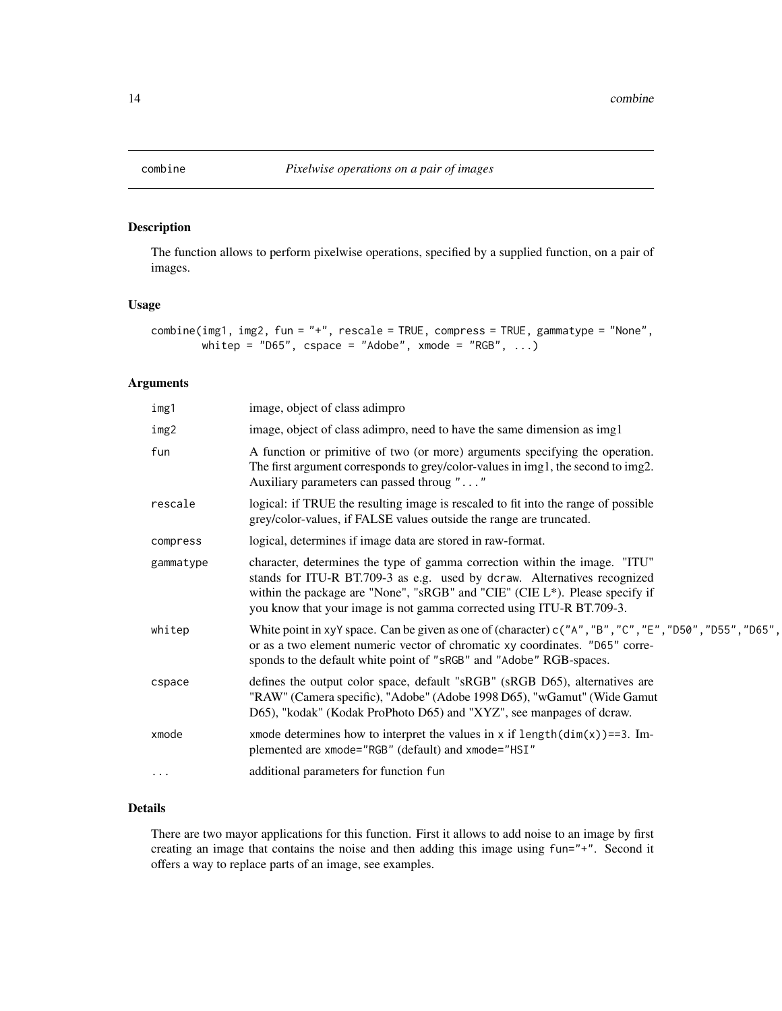<span id="page-13-0"></span>

## Description

The function allows to perform pixelwise operations, specified by a supplied function, on a pair of images.

#### Usage

```
combine(img1, img2, fun = "+", rescale = TRUE, compress = TRUE, gammatype = "None",
        whitep = "D65", cspace = "Adobe", x \mod 2 = "RGB", ...)
```
## Arguments

| img1      | image, object of class adimpro                                                                                                                                                                                                                                                                                 |
|-----------|----------------------------------------------------------------------------------------------------------------------------------------------------------------------------------------------------------------------------------------------------------------------------------------------------------------|
| img2      | image, object of class adimpro, need to have the same dimension as img1                                                                                                                                                                                                                                        |
| fun       | A function or primitive of two (or more) arguments specifying the operation.<br>The first argument corresponds to grey/color-values in img1, the second to img2.<br>Auxiliary parameters can passed throug ""                                                                                                  |
| rescale   | logical: if TRUE the resulting image is rescaled to fit into the range of possible<br>grey/color-values, if FALSE values outside the range are truncated.                                                                                                                                                      |
| compress  | logical, determines if image data are stored in raw-format.                                                                                                                                                                                                                                                    |
| gammatype | character, determines the type of gamma correction within the image. "ITU"<br>stands for ITU-R BT.709-3 as e.g. used by dcraw. Alternatives recognized<br>within the package are "None", "sRGB" and "CIE" (CIE L*). Please specify if<br>you know that your image is not gamma corrected using ITU-R BT.709-3. |
| whitep    | White point in xyY space. Can be given as one of (character) $c("A", "B", "C", "E", "D50", "D55", "D65",$<br>or as a two element numeric vector of chromatic xy coordinates. "D65" corre-<br>sponds to the default white point of "sRGB" and "Adobe" RGB-spaces.                                               |
| cspace    | defines the output color space, default "sRGB" (sRGB D65), alternatives are<br>"RAW" (Camera specific), "Adobe" (Adobe 1998 D65), "wGamut" (Wide Gamut<br>D65), "kodak" (Kodak ProPhoto D65) and "XYZ", see manpages of dcraw.                                                                                 |
| xmode     | xmode determines how to interpret the values in $x$ if $length(dim(x)) == 3$ . Im-<br>plemented are xmode="RGB" (default) and xmode="HSI"                                                                                                                                                                      |
| $\cdots$  | additional parameters for function fun                                                                                                                                                                                                                                                                         |
|           |                                                                                                                                                                                                                                                                                                                |

## Details

There are two mayor applications for this function. First it allows to add noise to an image by first creating an image that contains the noise and then adding this image using fun="+". Second it offers a way to replace parts of an image, see examples.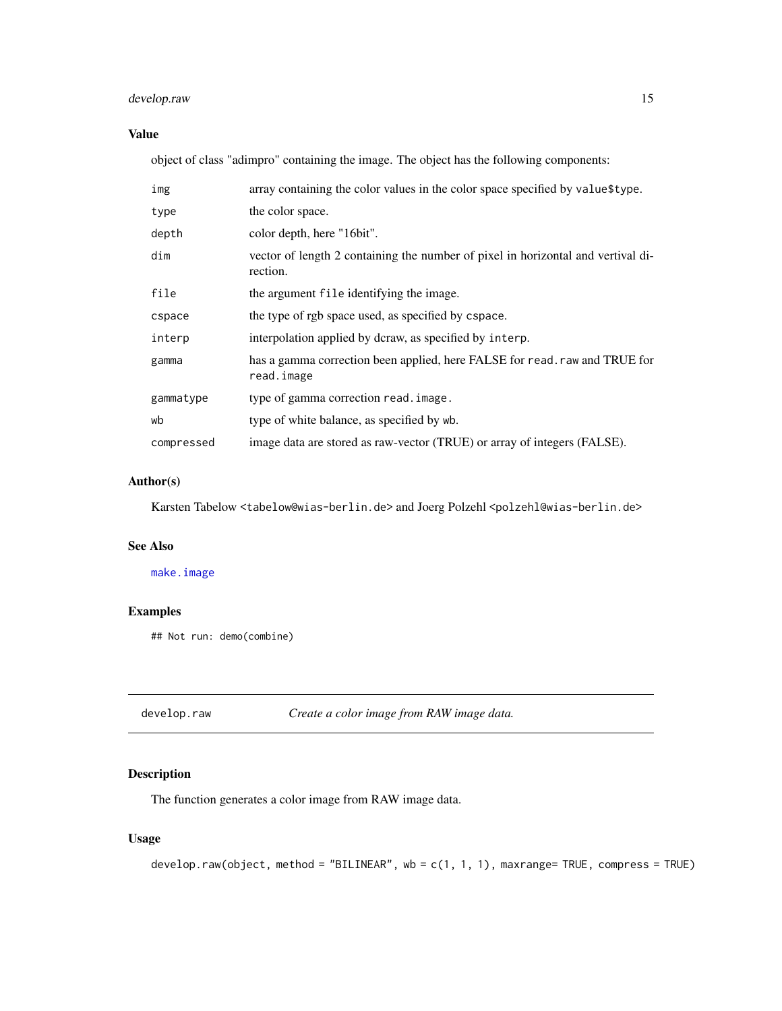## <span id="page-14-0"></span>develop.raw 15

## Value

object of class "adimpro" containing the image. The object has the following components:

| img        | array containing the color values in the color space specified by value\$type.               |
|------------|----------------------------------------------------------------------------------------------|
| type       | the color space.                                                                             |
| depth      | color depth, here "16bit".                                                                   |
| dim        | vector of length 2 containing the number of pixel in horizontal and vertival di-<br>rection. |
| file       | the argument file identifying the image.                                                     |
| cspace     | the type of rgb space used, as specified by cspace.                                          |
| interp     | interpolation applied by dcraw, as specified by interp.                                      |
| gamma      | has a gamma correction been applied, here FALSE for read. raw and TRUE for<br>read.image     |
| gammatype  | type of gamma correction read. image.                                                        |
| wb         | type of white balance, as specified by wb.                                                   |
| compressed | image data are stored as raw-vector (TRUE) or array of integers (FALSE).                     |

## Author(s)

Karsten Tabelow <tabelow@wias-berlin.de> and Joerg Polzehl <polzehl@wias-berlin.de>

## See Also

#### [make.image](#page-1-1)

## Examples

## Not run: demo(combine)

<span id="page-14-1"></span>develop.raw *Create a color image from RAW image data.*

## Description

The function generates a color image from RAW image data.

#### Usage

```
develop.raw(object, method = "BILINEAR", wb = c(1, 1, 1), maxrange= TRUE, compress = TRUE)
```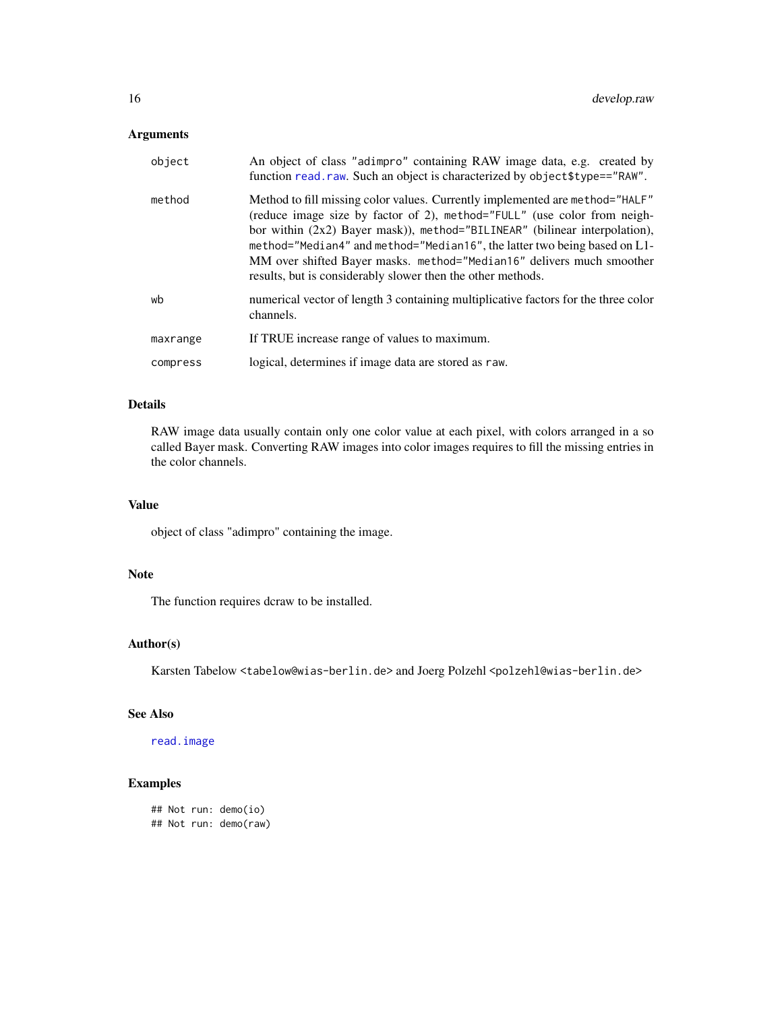## <span id="page-15-0"></span>Arguments

| object   | An object of class "adimpro" containing RAW image data, e.g. created by<br>function read.raw. Such an object is characterized by object\$type=="RAW".                                                                                                                                                                                                                                                                                                        |
|----------|--------------------------------------------------------------------------------------------------------------------------------------------------------------------------------------------------------------------------------------------------------------------------------------------------------------------------------------------------------------------------------------------------------------------------------------------------------------|
| method   | Method to fill missing color values. Currently implemented are method="HALF"<br>(reduce image size by factor of 2), method="FULL" (use color from neigh-<br>bor within $(2x2)$ Bayer mask), method="BILINEAR" (bilinear interpolation),<br>method="Median4" and method="Median16", the latter two being based on L1-<br>MM over shifted Bayer masks. method="Median16" delivers much smoother<br>results, but is considerably slower then the other methods. |
| wb       | numerical vector of length 3 containing multiplicative factors for the three color<br>channels.                                                                                                                                                                                                                                                                                                                                                              |
| maxrange | If TRUE increase range of values to maximum.                                                                                                                                                                                                                                                                                                                                                                                                                 |
| compress | logical, determines if image data are stored as raw.                                                                                                                                                                                                                                                                                                                                                                                                         |

## Details

RAW image data usually contain only one color value at each pixel, with colors arranged in a so called Bayer mask. Converting RAW images into color images requires to fill the missing entries in the color channels.

## Value

object of class "adimpro" containing the image.

### Note

The function requires dcraw to be installed.

## Author(s)

Karsten Tabelow <tabelow@wias-berlin.de> and Joerg Polzehl <polzehl@wias-berlin.de>

## See Also

[read.image](#page-1-1)

## Examples

```
## Not run: demo(io)
## Not run: demo(raw)
```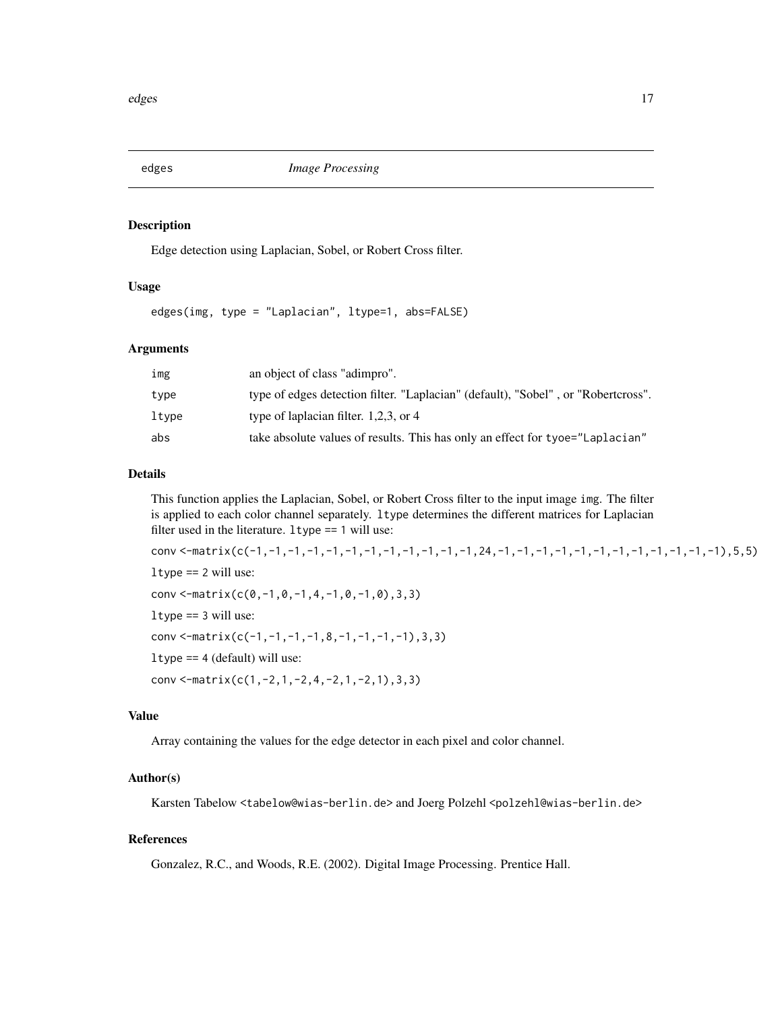<span id="page-16-0"></span>

#### Description

Edge detection using Laplacian, Sobel, or Robert Cross filter.

## Usage

edges(img, type = "Laplacian", ltype=1, abs=FALSE)

#### **Arguments**

| img   | an object of class "adimpro".                                                     |
|-------|-----------------------------------------------------------------------------------|
| type  | type of edges detection filter. "Laplacian" (default), "Sobel", or "Robertcross". |
| ltype | type of laplacian filter. $1,2,3$ , or 4                                          |
| abs   | take absolute values of results. This has only an effect for tyoe="Laplacian"     |

#### Details

This function applies the Laplacian, Sobel, or Robert Cross filter to the input image img. The filter is applied to each color channel separately. ltype determines the different matrices for Laplacian filter used in the literature. ltype == 1 will use:

conv <-matrix(c(-1,-1,-1,-1,-1,-1,-1,-1,-1,-1,-1,-1,24,-1,-1,-1,-1,-1,-1,-1,-1,-1,-1,-1,-1),5,5)  $l$ type == 2 will use: conv <-matrix(c(0,-1,0,-1,4,-1,0,-1,0),3,3) ltype == 3 will use: conv <-matrix(c(-1,-1,-1,-1,8,-1,-1,-1,-1),3,3) ltype == 4 (default) will use: conv <-matrix(c(1,-2,1,-2,4,-2,1,-2,1),3,3)

## Value

Array containing the values for the edge detector in each pixel and color channel.

#### Author(s)

Karsten Tabelow <tabelow@wias-berlin.de> and Joerg Polzehl <polzehl@wias-berlin.de>

#### References

Gonzalez, R.C., and Woods, R.E. (2002). Digital Image Processing. Prentice Hall.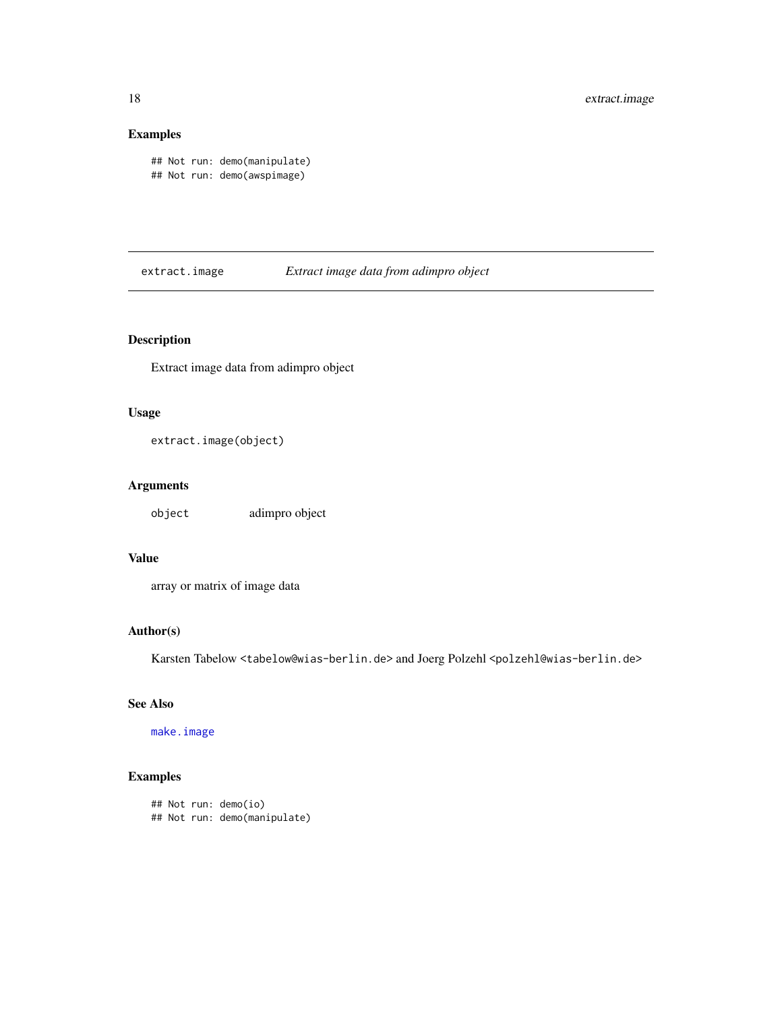## Examples

```
## Not run: demo(manipulate)
## Not run: demo(awspimage)
```
extract.image *Extract image data from adimpro object*

## Description

Extract image data from adimpro object

## Usage

```
extract.image(object)
```
## Arguments

object adimpro object

## Value

array or matrix of image data

## Author(s)

Karsten Tabelow <tabelow@wias-berlin.de> and Joerg Polzehl <polzehl@wias-berlin.de>

## See Also

[make.image](#page-1-1)

## Examples

```
## Not run: demo(io)
## Not run: demo(manipulate)
```
<span id="page-17-0"></span>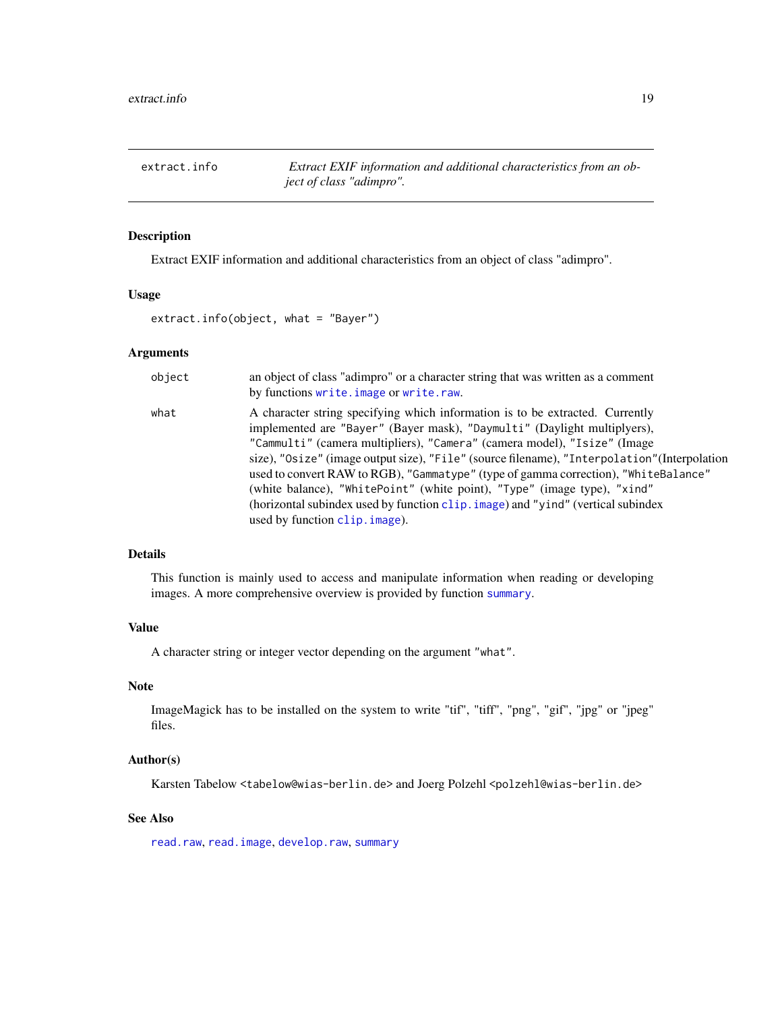<span id="page-18-0"></span>extract.info *Extract EXIF information and additional characteristics from an object of class "adimpro".*

#### Description

Extract EXIF information and additional characteristics from an object of class "adimpro".

## Usage

extract.info(object, what = "Bayer")

#### Arguments

| object | an object of class "adimpro" or a character string that was written as a comment<br>by functions write. image or write. raw.                                                                                                                                                                                                                                                                                                                                                                                                                                                                                                   |
|--------|--------------------------------------------------------------------------------------------------------------------------------------------------------------------------------------------------------------------------------------------------------------------------------------------------------------------------------------------------------------------------------------------------------------------------------------------------------------------------------------------------------------------------------------------------------------------------------------------------------------------------------|
| what   | A character string specifying which information is to be extracted. Currently<br>implemented are "Bayer" (Bayer mask), "Daymulti" (Daylight multiplyers),<br>"Cammulti" (camera multipliers), "Camera" (camera model), "Isize" (Image<br>size), "Osize" (image output size), "File" (source filename), "Interpolation" (Interpolation<br>used to convert RAW to RGB), "Gammatype" (type of gamma correction), "WhiteBalance"<br>(white balance), "WhitePoint" (white point), "Type" (image type), "xind"<br>(horizontal subindex used by function clip. image) and "yind" (vertical subindex<br>used by function clip. image). |

#### Details

This function is mainly used to access and manipulate information when reading or developing images. A more comprehensive overview is provided by function [summary](#page-0-0).

#### Value

A character string or integer vector depending on the argument "what".

#### Note

ImageMagick has to be installed on the system to write "tif", "tiff", "png", "gif", "jpg" or "jpeg" files.

## Author(s)

Karsten Tabelow <tabelow@wias-berlin.de> and Joerg Polzehl <polzehl@wias-berlin.de>

## See Also

[read.raw](#page-1-1), [read.image](#page-1-1), [develop.raw](#page-14-1), [summary](#page-0-0)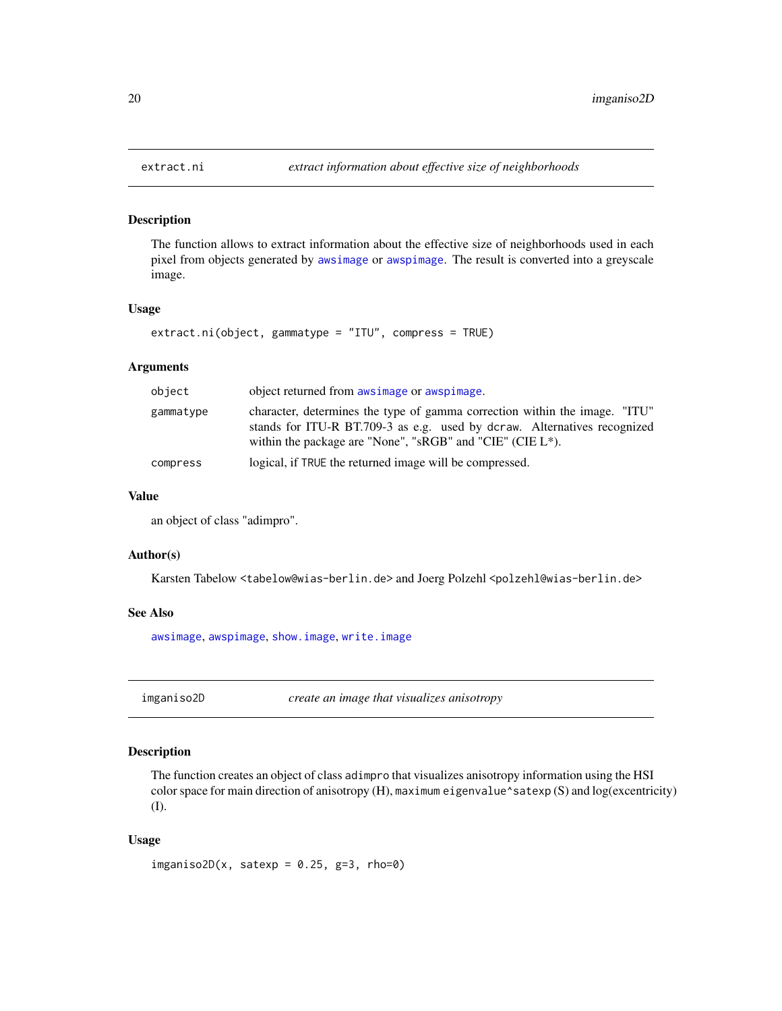## Description

The function allows to extract information about the effective size of neighborhoods used in each pixel from objects generated by [awsimage](#page-5-1) or [awspimage](#page-5-2). The result is converted into a greyscale image.

#### Usage

```
extract.ni(object, gammatype = "ITU", compress = TRUE)
```
#### Arguments

| object    | object returned from awsimage or awspimage.                                                                                                                                                                             |
|-----------|-------------------------------------------------------------------------------------------------------------------------------------------------------------------------------------------------------------------------|
| gammatype | character, determines the type of gamma correction within the image. "ITU"<br>stands for ITU-R BT.709-3 as e.g. used by dcraw. Alternatives recognized<br>within the package are "None", "sRGB" and "CIE" (CIE $L^*$ ). |
| compress  | logical, if TRUE the returned image will be compressed.                                                                                                                                                                 |

#### Value

an object of class "adimpro".

#### Author(s)

Karsten Tabelow <tabelow@wias-berlin.de> and Joerg Polzehl <polzehl@wias-berlin.de>

#### See Also

[awsimage](#page-5-1), [awspimage](#page-5-2), [show.image](#page-28-1), [write.image](#page-31-1)

imganiso2D *create an image that visualizes anisotropy*

## Description

The function creates an object of class adimpro that visualizes anisotropy information using the HSI color space for main direction of anisotropy (H), maximum eigenvalue^satexp (S) and log(excentricity) (I).

#### Usage

imganiso2D(x, satexp =  $0.25$ , g=3, rho=0)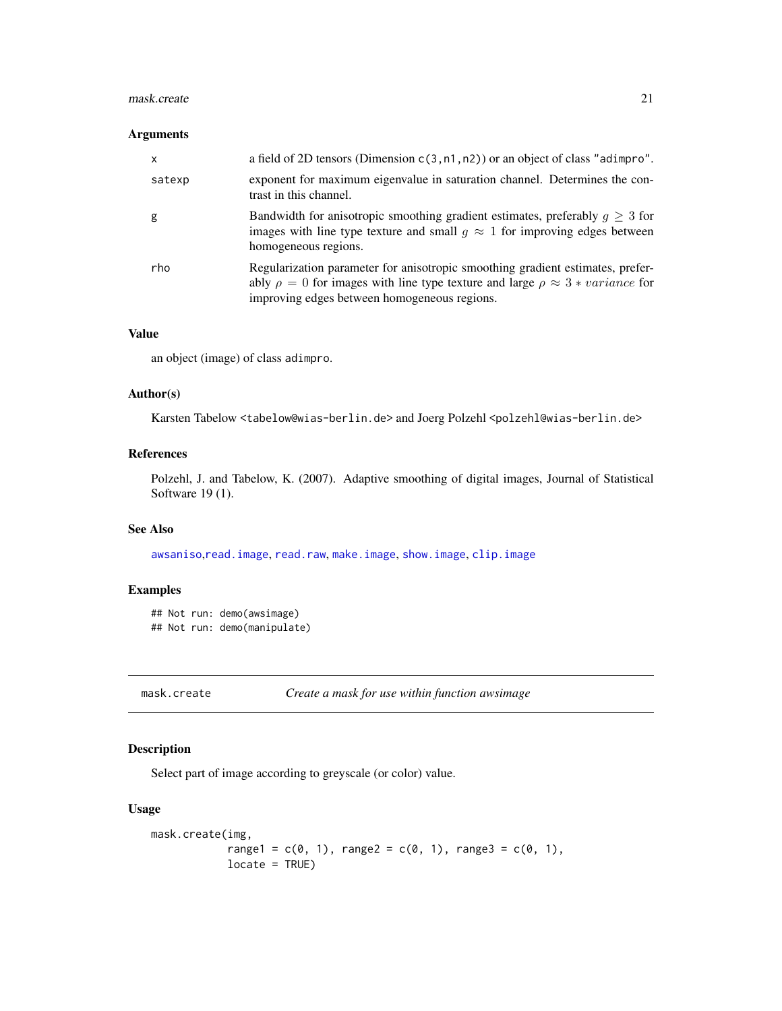#### <span id="page-20-0"></span>mask.create 21

#### Arguments

| $\mathsf{x}$ | a field of 2D tensors (Dimension $c(3, n1, n2)$ ) or an object of class "adimpro".                                                                                                                                            |
|--------------|-------------------------------------------------------------------------------------------------------------------------------------------------------------------------------------------------------------------------------|
| satexp       | exponent for maximum eigenvalue in saturation channel. Determines the con-<br>trast in this channel.                                                                                                                          |
| g            | Bandwidth for anisotropic smoothing gradient estimates, preferably $q \geq 3$ for<br>images with line type texture and small $q \approx 1$ for improving edges between<br>homogeneous regions.                                |
| rho          | Regularization parameter for anisotropic smoothing gradient estimates, prefer-<br>ably $\rho = 0$ for images with line type texture and large $\rho \approx 3 * variance$ for<br>improving edges between homogeneous regions. |

#### Value

an object (image) of class adimpro.

## Author(s)

Karsten Tabelow <tabelow@wias-berlin.de> and Joerg Polzehl <polzehl@wias-berlin.de>

#### References

Polzehl, J. and Tabelow, K. (2007). Adaptive smoothing of digital images, Journal of Statistical Software 19 (1).

#### See Also

[awsaniso](#page-5-2),[read.image](#page-1-1), [read.raw](#page-1-1), [make.image](#page-1-1), [show.image](#page-28-1), [clip.image](#page-10-1)

## Examples

```
## Not run: demo(awsimage)
## Not run: demo(manipulate)
```
mask.create *Create a mask for use within function awsimage*

## Description

Select part of image according to greyscale (or color) value.

#### Usage

```
mask.create(img,
            range1 = c(0, 1), range2 = c(0, 1), range3 = c(0, 1),
            locate = TRUE)
```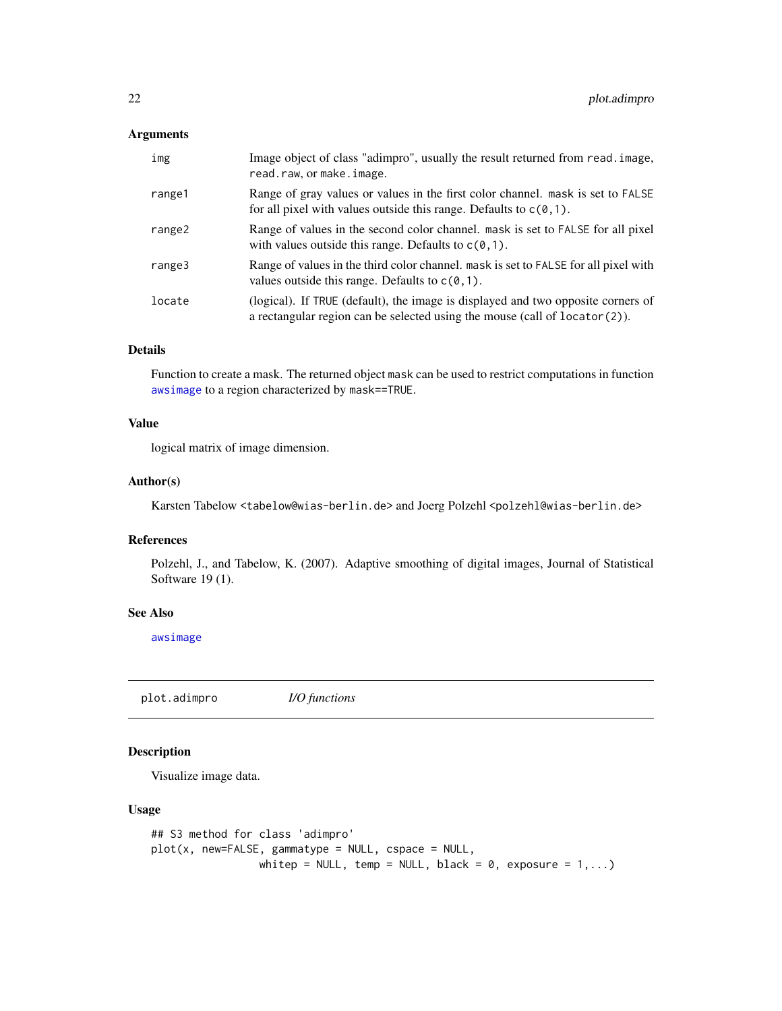## <span id="page-21-0"></span>Arguments

| img    | Image object of class "adimpro", usually the result returned from read. image,<br>read.raw, or make.image.                                                         |
|--------|--------------------------------------------------------------------------------------------------------------------------------------------------------------------|
| range1 | Range of gray values or values in the first color channel. mask is set to FALSE<br>for all pixel with values outside this range. Defaults to $c(0,1)$ .            |
| range2 | Range of values in the second color channel. mask is set to FALSE for all pixel<br>with values outside this range. Defaults to $c(0,1)$ .                          |
| range3 | Range of values in the third color channel. mask is set to FALSE for all pixel with<br>values outside this range. Defaults to $c(0, 1)$ .                          |
| locate | (logical). If TRUE (default), the image is displayed and two opposite corners of<br>a rectangular region can be selected using the mouse (call of $location(2)$ ). |

## Details

Function to create a mask. The returned object mask can be used to restrict computations in function [awsimage](#page-5-1) to a region characterized by mask==TRUE.

## Value

logical matrix of image dimension.

#### Author(s)

Karsten Tabelow <tabelow@wias-berlin.de> and Joerg Polzehl <polzehl@wias-berlin.de>

## References

Polzehl, J., and Tabelow, K. (2007). Adaptive smoothing of digital images, Journal of Statistical Software 19 (1).

#### See Also

[awsimage](#page-5-1)

plot.adimpro *I/O functions*

## Description

Visualize image data.

## Usage

```
## S3 method for class 'adimpro'
plot(x, new=FALSE, gammatype = NULL, cspace = NULL,
                 whitep = NULL, temp = NULL, black = \theta, exposure = 1,...)
```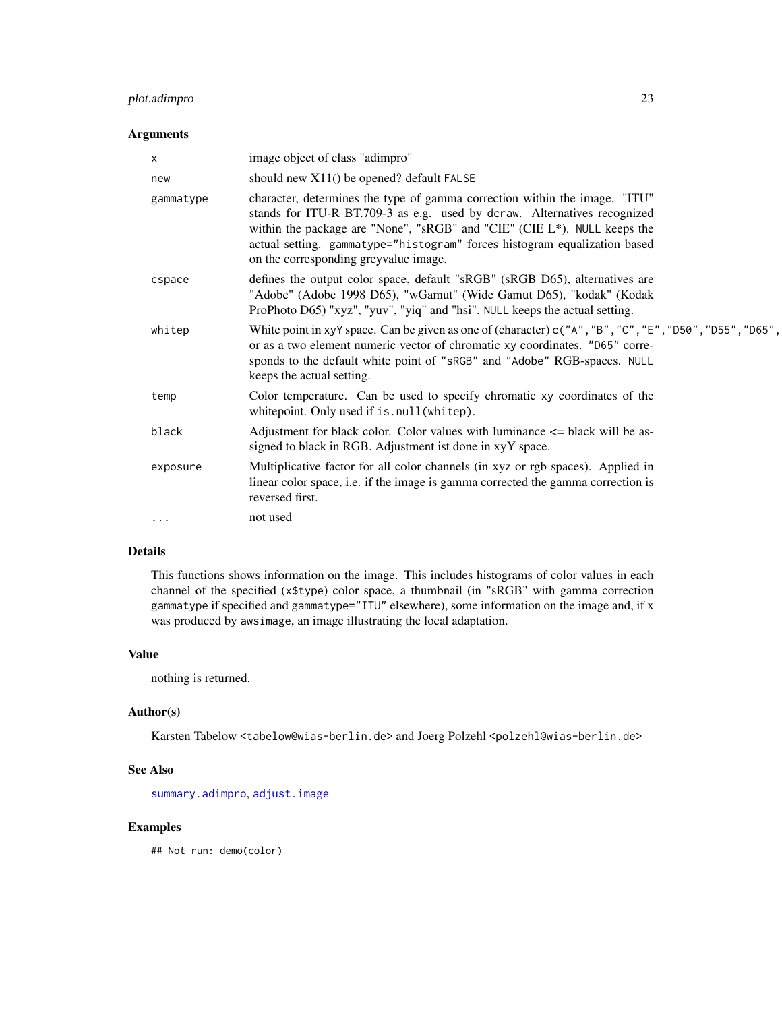## <span id="page-22-0"></span>plot.adimpro 23

#### Arguments

| x         | image object of class "adimpro"                                                                                                                                                                                                                                                                                                                          |
|-----------|----------------------------------------------------------------------------------------------------------------------------------------------------------------------------------------------------------------------------------------------------------------------------------------------------------------------------------------------------------|
| new       | should new $X11()$ be opened? default FALSE                                                                                                                                                                                                                                                                                                              |
| gammatype | character, determines the type of gamma correction within the image. "ITU"<br>stands for ITU-R BT.709-3 as e.g. used by dcraw. Alternatives recognized<br>within the package are "None", "sRGB" and "CIE" (CIE L*). NULL keeps the<br>actual setting. gammatype="histogram" forces histogram equalization based<br>on the corresponding greyvalue image. |
| cspace    | defines the output color space, default "sRGB" (sRGB D65), alternatives are<br>"Adobe" (Adobe 1998 D65), "wGamut" (Wide Gamut D65), "kodak" (Kodak<br>ProPhoto D65) "xyz", "yuv", "yiq" and "hsi". NULL keeps the actual setting.                                                                                                                        |
| whitep    | White point in xyY space. Can be given as one of (character) $c("A", "B", "C", "E", "D50", "D55", "D65",$<br>or as a two element numeric vector of chromatic xy coordinates. "D65" corre-<br>sponds to the default white point of "sRGB" and "Adobe" RGB-spaces. NULL<br>keeps the actual setting.                                                       |
| temp      | Color temperature. Can be used to specify chromatic xy coordinates of the<br>white point. Only used if is . null (white p).                                                                                                                                                                                                                              |
| black     | Adjustment for black color. Color values with luminance $\leq$ black will be as-<br>signed to black in RGB. Adjustment ist done in xyY space.                                                                                                                                                                                                            |
| exposure  | Multiplicative factor for all color channels (in xyz or rgb spaces). Applied in<br>linear color space, i.e. if the image is gamma corrected the gamma correction is<br>reversed first.                                                                                                                                                                   |
| $\cdots$  | not used                                                                                                                                                                                                                                                                                                                                                 |
|           |                                                                                                                                                                                                                                                                                                                                                          |

## Details

This functions shows information on the image. This includes histograms of color values in each channel of the specified (x\$type) color space, a thumbnail (in "sRGB" with gamma correction gammatype if specified and gammatype="ITU" elsewhere), some information on the image and, if x was produced by awsimage, an image illustrating the local adaptation.

#### Value

nothing is returned.

## Author(s)

Karsten Tabelow <tabelow@wias-berlin.de> and Joerg Polzehl <polzehl@wias-berlin.de>

#### See Also

[summary.adimpro](#page-30-1), [adjust.image](#page-4-1)

## Examples

## Not run: demo(color)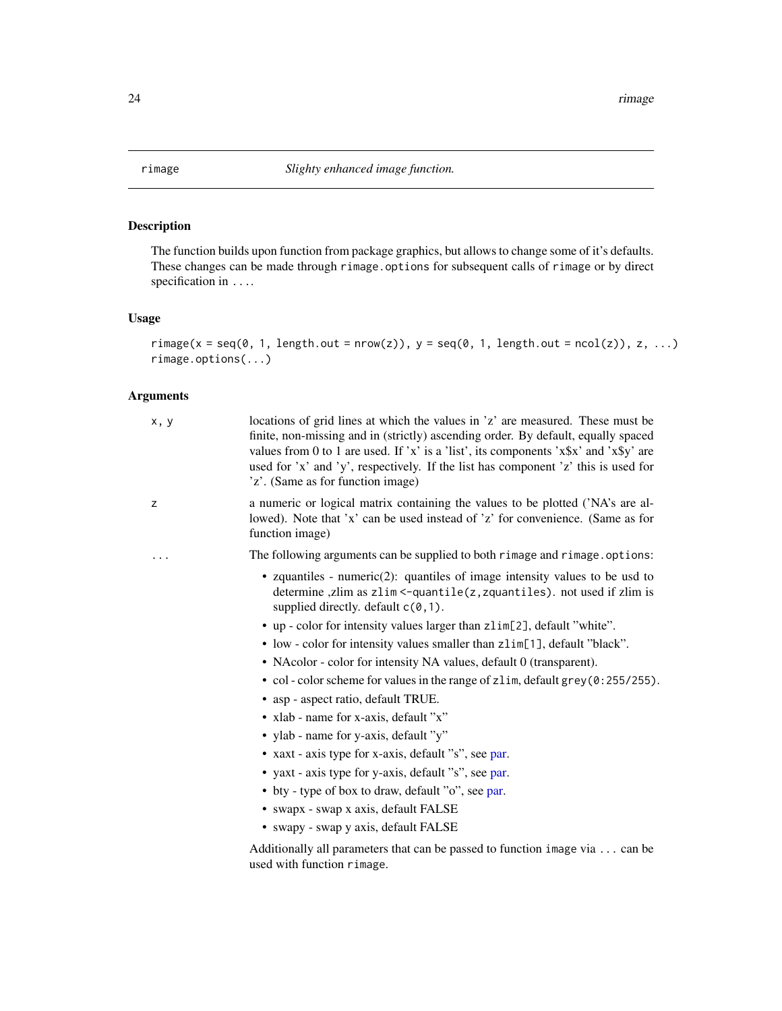<span id="page-23-0"></span>

## Description

The function builds upon function from package graphics, but allows to change some of it's defaults. These changes can be made through rimage.options for subsequent calls of rimage or by direct specification in ....

#### Usage

```
rimage(x = seq(0, 1, length.out = nrow(z)), y = seq(0, 1, length.out = ncol(z)), z, ...)rimage.options(...)
```

| x, y     | locations of grid lines at which the values in 'z' are measured. These must be<br>finite, non-missing and in (strictly) ascending order. By default, equally spaced<br>values from 0 to 1 are used. If 'x' is a 'list', its components 'x\$x' and 'x\$y' are<br>used for 'x' and 'y', respectively. If the list has component 'z' this is used for<br>'z'. (Same as for function image) |
|----------|-----------------------------------------------------------------------------------------------------------------------------------------------------------------------------------------------------------------------------------------------------------------------------------------------------------------------------------------------------------------------------------------|
| z        | a numeric or logical matrix containing the values to be plotted ('NA's are al-<br>lowed). Note that 'x' can be used instead of 'z' for convenience. (Same as for<br>function image)                                                                                                                                                                                                     |
| $\cdots$ | The following arguments can be supplied to both rimage and rimage.options:                                                                                                                                                                                                                                                                                                              |
|          | • zquantiles - numeric(2): quantiles of image intensity values to be usd to<br>determine, zlim as zlim <- quantile(z, zquantiles). not used if zlim is<br>supplied directly. default $c(0, 1)$ .                                                                                                                                                                                        |
|          | • up - color for intensity values larger than zlim[2], default "white".                                                                                                                                                                                                                                                                                                                 |
|          | • low - color for intensity values smaller than zlim[1], default "black".                                                                                                                                                                                                                                                                                                               |
|          | • NAcolor - color for intensity NA values, default 0 (transparent).                                                                                                                                                                                                                                                                                                                     |
|          | • col-color scheme for values in the range of zlim, default grey (0:255/255).                                                                                                                                                                                                                                                                                                           |
|          | • asp - aspect ratio, default TRUE.                                                                                                                                                                                                                                                                                                                                                     |
|          | • xlab - name for x-axis, default "x"                                                                                                                                                                                                                                                                                                                                                   |
|          | • ylab - name for y-axis, default "y"                                                                                                                                                                                                                                                                                                                                                   |
|          | • xaxt - axis type for x-axis, default "s", see par.                                                                                                                                                                                                                                                                                                                                    |
|          | • yaxt - axis type for y-axis, default "s", see par.                                                                                                                                                                                                                                                                                                                                    |
|          | • bty - type of box to draw, default "o", see par.                                                                                                                                                                                                                                                                                                                                      |
|          | • swapx - swap x axis, default FALSE                                                                                                                                                                                                                                                                                                                                                    |
|          | • swapy - swap y axis, default FALSE                                                                                                                                                                                                                                                                                                                                                    |
|          | Additionally all parameters that can be passed to function image via  can be<br>used with function rimage.                                                                                                                                                                                                                                                                              |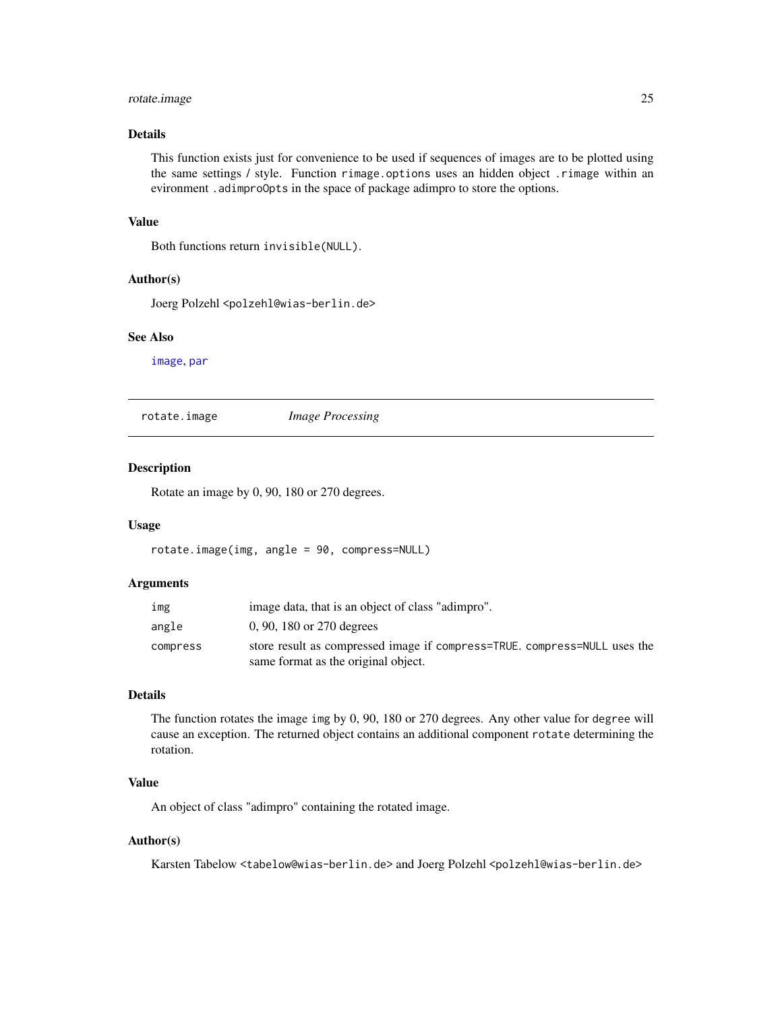## <span id="page-24-0"></span>rotate.image 25

## Details

This function exists just for convenience to be used if sequences of images are to be plotted using the same settings / style. Function rimage.options uses an hidden object .rimage within an evironment .adimproOpts in the space of package adimpro to store the options.

#### Value

Both functions return invisible(NULL).

#### Author(s)

Joerg Polzehl<br />
<br />
<br />
<br />
Lead<br />
Lead<br />
Lead<br />
Lead<br />
Lead<br />
Lead<br />
Lead<br />
Lead<br />
Lead<br />
Lead<br />
Lead<br />
Lead<br />
Lead<br />
Lead<br />
Lead<br />
Lead<br />
Lead<

## See Also

[image](#page-0-0), [par](#page-0-0)

rotate.image *Image Processing*

#### Description

Rotate an image by 0, 90, 180 or 270 degrees.

## Usage

rotate.image(img, angle = 90, compress=NULL)

## Arguments

| img      | image data, that is an object of class "adimpro".                         |
|----------|---------------------------------------------------------------------------|
| angle    | 0, 90, 180 or 270 degrees                                                 |
| compress | store result as compressed image if compress=TRUE, compress=NULL uses the |
|          | same format as the original object.                                       |

## Details

The function rotates the image img by 0, 90, 180 or 270 degrees. Any other value for degree will cause an exception. The returned object contains an additional component rotate determining the rotation.

## Value

An object of class "adimpro" containing the rotated image.

## Author(s)

Karsten Tabelow <tabelow@wias-berlin.de> and Joerg Polzehl <polzehl@wias-berlin.de>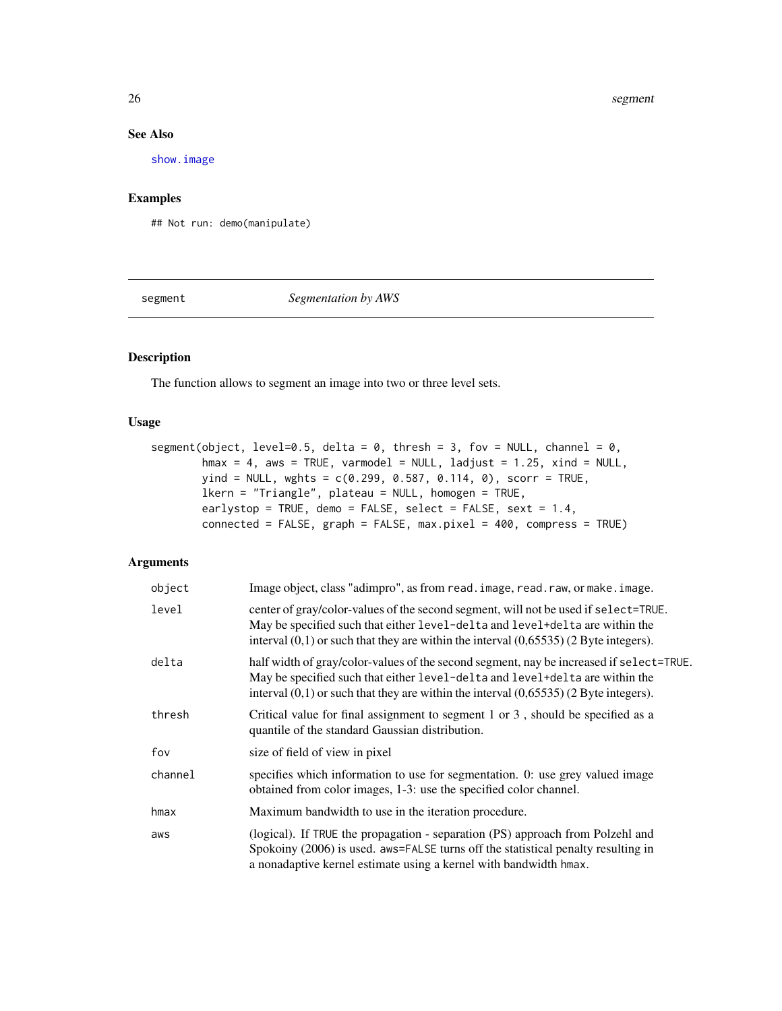#### See Also

[show.image](#page-28-1)

## Examples

## Not run: demo(manipulate)

segment *Segmentation by AWS*

## Description

The function allows to segment an image into two or three level sets.

## Usage

```
segment(object, level=0.5, delta = 0, thresh = 3, fov = NULL, channel = 0,
       hmax = 4, aws = TRUE, varmodel = NULL, ladjust = 1.25, xind = NULL,
       yind = NULL, wghts = c(0.299, 0.587, 0.114, 0), scorr = TRUE,
       lkern = "Triangle", plateau = NULL, homogen = TRUE,
       earlystop = TRUE, demo = FALSE, select = FALSE, sext = 1.4,
       connected = FALSE, graph = FALSE, max.pixel = 400, compress = TRUE)
```

| object  | Image object, class "adimpro", as from read. image, read. raw, or make. image.                                                                                                                                                                                       |
|---------|----------------------------------------------------------------------------------------------------------------------------------------------------------------------------------------------------------------------------------------------------------------------|
| level   | center of gray/color-values of the second segment, will not be used if select=TRUE.<br>May be specified such that either level-delta and level+delta are within the<br>interval $(0,1)$ or such that they are within the interval $(0,65535)$ (2 Byte integers).     |
| delta   | half width of gray/color-values of the second segment, nay be increased if select=TRUE.<br>May be specified such that either level-delta and level-delta are within the<br>interval $(0,1)$ or such that they are within the interval $(0,65535)$ (2 Byte integers). |
| thresh  | Critical value for final assignment to segment 1 or 3, should be specified as a<br>quantile of the standard Gaussian distribution.                                                                                                                                   |
| fov     | size of field of view in pixel                                                                                                                                                                                                                                       |
| channel | specifies which information to use for segmentation. 0: use grey valued image<br>obtained from color images, 1-3: use the specified color channel.                                                                                                                   |
| hmax    | Maximum bandwidth to use in the iteration procedure.                                                                                                                                                                                                                 |
| aws     | (logical). If TRUE the propagation - separation (PS) approach from Polzehl and<br>Spokoiny (2006) is used. aws=FALSE turns off the statistical penalty resulting in<br>a nonadaptive kernel estimate using a kernel with bandwidth hmax.                             |

<span id="page-25-0"></span>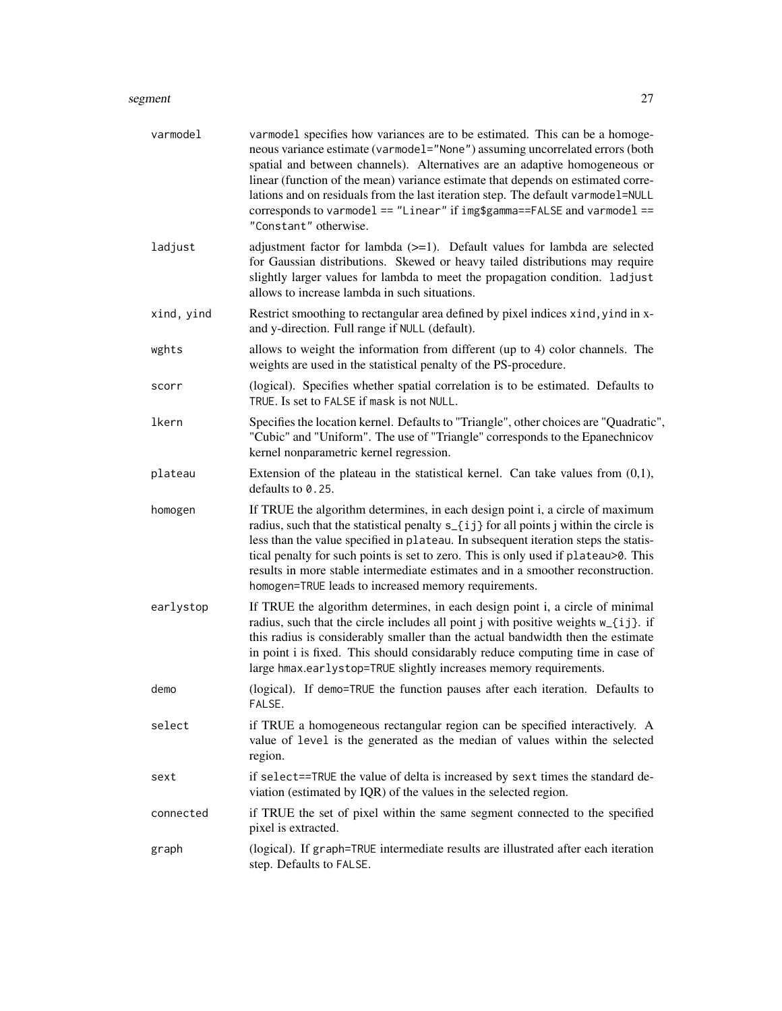#### segment 27

| varmodel   | varmodel specifies how variances are to be estimated. This can be a homoge-<br>neous variance estimate (varmodel="None") assuming uncorrelated errors (both<br>spatial and between channels). Alternatives are an adaptive homogeneous or<br>linear (function of the mean) variance estimate that depends on estimated corre-<br>lations and on residuals from the last iteration step. The default varmodel=NULL<br>corresponds to varmodel == "Linear" if img\$gamma==FALSE and varmodel ==<br>"Constant" otherwise. |
|------------|------------------------------------------------------------------------------------------------------------------------------------------------------------------------------------------------------------------------------------------------------------------------------------------------------------------------------------------------------------------------------------------------------------------------------------------------------------------------------------------------------------------------|
| ladjust    | adjustment factor for lambda $(>=1)$ . Default values for lambda are selected<br>for Gaussian distributions. Skewed or heavy tailed distributions may require<br>slightly larger values for lambda to meet the propagation condition. ladjust<br>allows to increase lambda in such situations.                                                                                                                                                                                                                         |
| xind, yind | Restrict smoothing to rectangular area defined by pixel indices xind, yind in x-<br>and y-direction. Full range if NULL (default).                                                                                                                                                                                                                                                                                                                                                                                     |
| wghts      | allows to weight the information from different (up to 4) color channels. The<br>weights are used in the statistical penalty of the PS-procedure.                                                                                                                                                                                                                                                                                                                                                                      |
| scorr      | (logical). Specifies whether spatial correlation is to be estimated. Defaults to<br>TRUE. Is set to FALSE if mask is not NULL.                                                                                                                                                                                                                                                                                                                                                                                         |
| lkern      | Specifies the location kernel. Defaults to "Triangle", other choices are "Quadratic",<br>"Cubic" and "Uniform". The use of "Triangle" corresponds to the Epanechnicov<br>kernel nonparametric kernel regression.                                                                                                                                                                                                                                                                                                       |
| plateau    | Extension of the plateau in the statistical kernel. Can take values from $(0,1)$ ,<br>defaults to 0.25.                                                                                                                                                                                                                                                                                                                                                                                                                |
| homogen    | If TRUE the algorithm determines, in each design point i, a circle of maximum<br>radius, such that the statistical penalty s_{ij} for all points j within the circle is<br>less than the value specified in plateau. In subsequent iteration steps the statis-<br>tical penalty for such points is set to zero. This is only used if plateau>0. This<br>results in more stable intermediate estimates and in a smoother reconstruction.<br>homogen=TRUE leads to increased memory requirements.                        |
| earlystop  | If TRUE the algorithm determines, in each design point i, a circle of minimal<br>radius, such that the circle includes all point j with positive weights w_{ij}. if<br>this radius is considerably smaller than the actual bandwidth then the estimate<br>in point i is fixed. This should considarably reduce computing time in case of<br>large hmax.earlystop=TRUE slightly increases memory requirements.                                                                                                          |
| demo       | (logical). If demo=TRUE the function pauses after each iteration. Defaults to<br>FALSE.                                                                                                                                                                                                                                                                                                                                                                                                                                |
| select     | if TRUE a homogeneous rectangular region can be specified interactively. A<br>value of level is the generated as the median of values within the selected<br>region.                                                                                                                                                                                                                                                                                                                                                   |
| sext       | if select==TRUE the value of delta is increased by sext times the standard de-<br>viation (estimated by IQR) of the values in the selected region.                                                                                                                                                                                                                                                                                                                                                                     |
| connected  | if TRUE the set of pixel within the same segment connected to the specified<br>pixel is extracted.                                                                                                                                                                                                                                                                                                                                                                                                                     |
| graph      | (logical). If graph=TRUE intermediate results are illustrated after each iteration<br>step. Defaults to FALSE.                                                                                                                                                                                                                                                                                                                                                                                                         |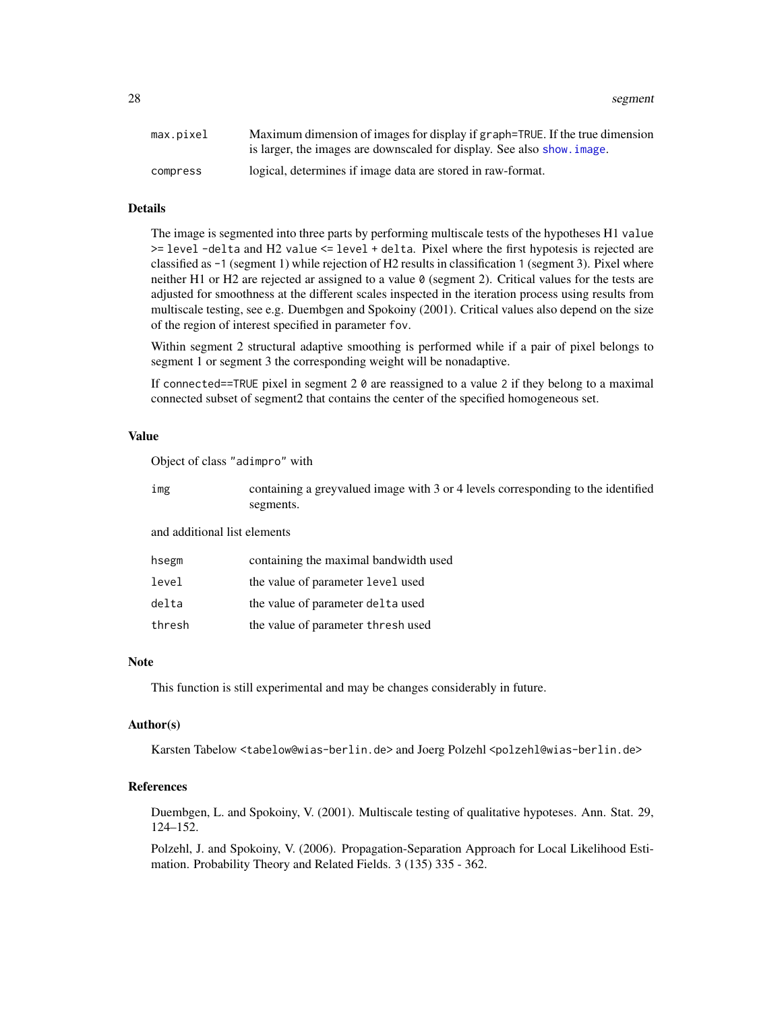<span id="page-27-0"></span>28 segment to the contract of the contract of the contract of the contract of the contract of the contract of the contract of the contract of the contract of the contract of the contract of the contract of the contract of

| max.pixel | Maximum dimension of images for display if graph=TRUE. If the true dimension |
|-----------|------------------------------------------------------------------------------|
|           | is larger, the images are downscaled for display. See also show, image.      |
| compress  | logical, determines if image data are stored in raw-format.                  |

#### Details

The image is segmented into three parts by performing multiscale tests of the hypotheses H1 value >= level -delta and H2 value <= level + delta. Pixel where the first hypotesis is rejected are classified as -1 (segment 1) while rejection of H2 results in classification 1 (segment 3). Pixel where neither H1 or H2 are rejected ar assigned to a value  $\theta$  (segment 2). Critical values for the tests are adjusted for smoothness at the different scales inspected in the iteration process using results from multiscale testing, see e.g. Duembgen and Spokoiny (2001). Critical values also depend on the size of the region of interest specified in parameter fov.

Within segment 2 structural adaptive smoothing is performed while if a pair of pixel belongs to segment 1 or segment 3 the corresponding weight will be nonadaptive.

If connected==TRUE pixel in segment 2 0 are reassigned to a value 2 if they belong to a maximal connected subset of segment2 that contains the center of the specified homogeneous set.

## Value

Object of class "adimpro" with

| img | containing a greyvalued image with 3 or 4 levels corresponding to the identified |
|-----|----------------------------------------------------------------------------------|
|     | segments.                                                                        |

and additional list elements

| hsegm  | containing the maximal bandwidth used |
|--------|---------------------------------------|
| level  | the value of parameter level used     |
| delta  | the value of parameter delta used     |
| thresh | the value of parameter thresh used    |

#### Note

This function is still experimental and may be changes considerably in future.

#### Author(s)

Karsten Tabelow <tabelow@wias-berlin.de> and Joerg Polzehl <polzehl@wias-berlin.de>

## References

Duembgen, L. and Spokoiny, V. (2001). Multiscale testing of qualitative hypoteses. Ann. Stat. 29, 124–152.

Polzehl, J. and Spokoiny, V. (2006). Propagation-Separation Approach for Local Likelihood Estimation. Probability Theory and Related Fields. 3 (135) 335 - 362.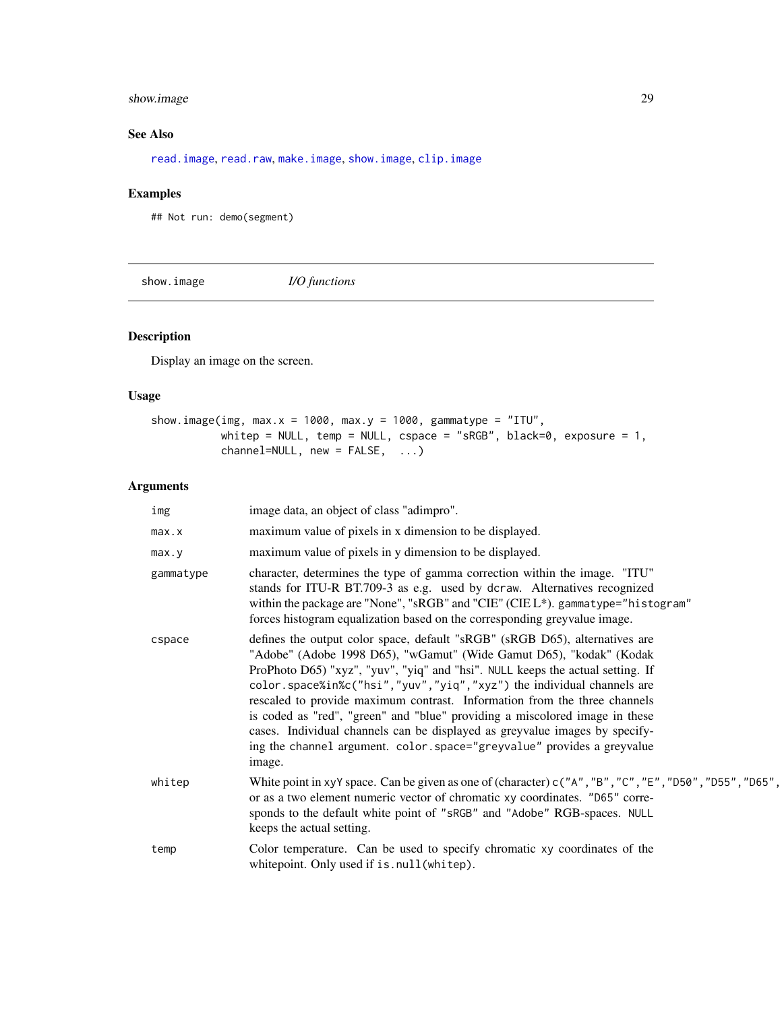## <span id="page-28-0"></span>show.image 29

## See Also

[read.image](#page-1-1), [read.raw](#page-1-1), [make.image](#page-1-1), [show.image](#page-28-1), [clip.image](#page-10-1)

## Examples

## Not run: demo(segment)

<span id="page-28-1"></span>show.image *I/O functions*

## Description

Display an image on the screen.

## Usage

| show.image(img, max.x = 1000, max.y = 1000, gammatype = "ITU", |                               |  |                                                                     |  |
|----------------------------------------------------------------|-------------------------------|--|---------------------------------------------------------------------|--|
|                                                                |                               |  | whitep = NULL, temp = NULL, cspace = "sRGB", black=0, exposure = 1, |  |
|                                                                | $channel=NULL, new = FALSE, $ |  |                                                                     |  |

| img       | image data, an object of class "adimpro".                                                                                                                                                                                                                                                                                                                                                                                                                                                                                                                                                                                                    |
|-----------|----------------------------------------------------------------------------------------------------------------------------------------------------------------------------------------------------------------------------------------------------------------------------------------------------------------------------------------------------------------------------------------------------------------------------------------------------------------------------------------------------------------------------------------------------------------------------------------------------------------------------------------------|
| max.x     | maximum value of pixels in x dimension to be displayed.                                                                                                                                                                                                                                                                                                                                                                                                                                                                                                                                                                                      |
| max.y     | maximum value of pixels in y dimension to be displayed.                                                                                                                                                                                                                                                                                                                                                                                                                                                                                                                                                                                      |
| gammatype | character, determines the type of gamma correction within the image. "ITU"<br>stands for ITU-R BT.709-3 as e.g. used by dcraw. Alternatives recognized<br>within the package are "None", "sRGB" and "CIE" (CIE L*). gammatype="histogram"<br>forces histogram equalization based on the corresponding greyvalue image.                                                                                                                                                                                                                                                                                                                       |
| cspace    | defines the output color space, default "sRGB" (sRGB D65), alternatives are<br>"Adobe" (Adobe 1998 D65), "wGamut" (Wide Gamut D65), "kodak" (Kodak<br>ProPhoto D65) "xyz", "yuv", "yiq" and "hsi". NULL keeps the actual setting. If<br>color.space%in%c("hsi","yuv","yiq","xyz") the individual channels are<br>rescaled to provide maximum contrast. Information from the three channels<br>is coded as "red", "green" and "blue" providing a miscolored image in these<br>cases. Individual channels can be displayed as greyvalue images by specify-<br>ing the channel argument. color.space="greyvalue" provides a greyvalue<br>image. |
| whitep    | White point in xyY space. Can be given as one of (character) $c("A", "B", "C", "E", "D50", "D55", "D65",$<br>or as a two element numeric vector of chromatic xy coordinates. "D65" corre-<br>sponds to the default white point of "sRGB" and "Adobe" RGB-spaces. NULL<br>keeps the actual setting.                                                                                                                                                                                                                                                                                                                                           |
| temp      | Color temperature. Can be used to specify chromatic xy coordinates of the<br>whitepoint. Only used if is.null(whitep).                                                                                                                                                                                                                                                                                                                                                                                                                                                                                                                       |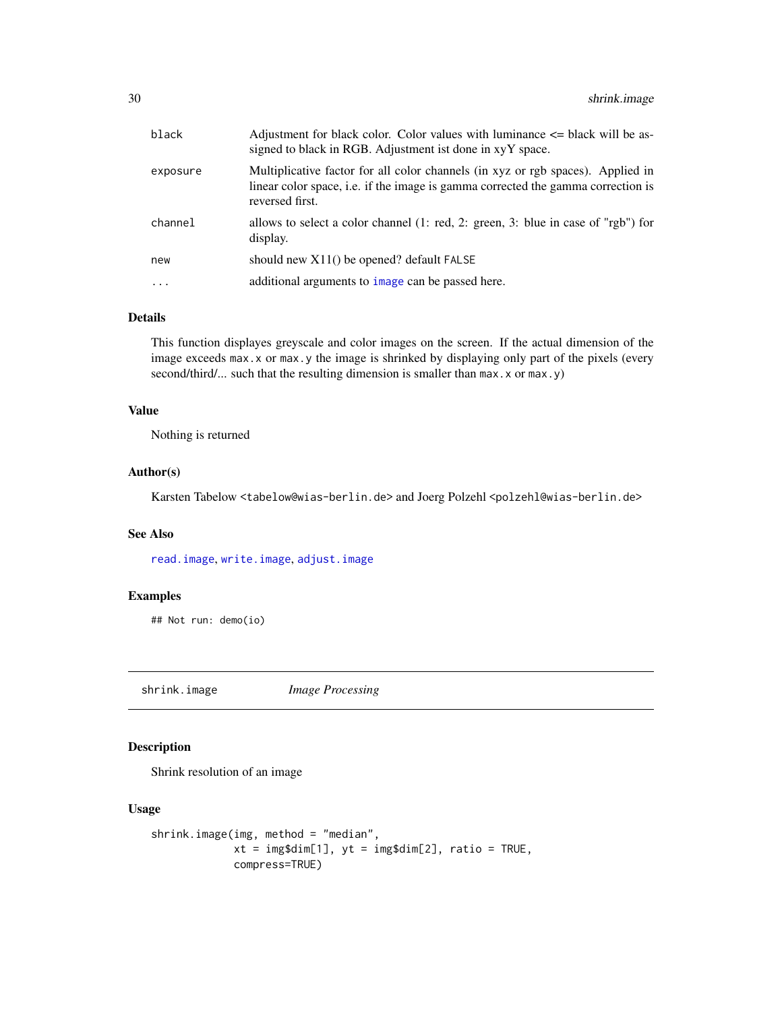<span id="page-29-0"></span>

| black                   | Adjustment for black color. Color values with luminance $\leq$ black will be as-<br>signed to black in RGB. Adjustment ist done in xyY space.                                          |
|-------------------------|----------------------------------------------------------------------------------------------------------------------------------------------------------------------------------------|
| exposure                | Multiplicative factor for all color channels (in xyz or rgb spaces). Applied in<br>linear color space, i.e. if the image is gamma corrected the gamma correction is<br>reversed first. |
| channel                 | allows to select a color channel (1: red, 2: green, 3: blue in case of "rgb") for<br>display.                                                                                          |
| new                     | should new $X11()$ be opened? default $FALKSE$                                                                                                                                         |
| $\cdot$ $\cdot$ $\cdot$ | additional arguments to image can be passed here.                                                                                                                                      |
|                         |                                                                                                                                                                                        |

## Details

This function displayes greyscale and color images on the screen. If the actual dimension of the image exceeds max.x or max.y the image is shrinked by displaying only part of the pixels (every second/third/... such that the resulting dimension is smaller than max.x or max.y)

#### Value

Nothing is returned

## Author(s)

Karsten Tabelow <tabelow@wias-berlin.de> and Joerg Polzehl <polzehl@wias-berlin.de>

## See Also

[read.image](#page-1-1), [write.image](#page-31-1), [adjust.image](#page-4-1)

## Examples

## Not run: demo(io)

shrink.image *Image Processing*

#### Description

Shrink resolution of an image

#### Usage

```
shrink.image(img, method = "median",
            xt = img$dim[1], yt = img$dim[2], ratio = TRUE,
            compress=TRUE)
```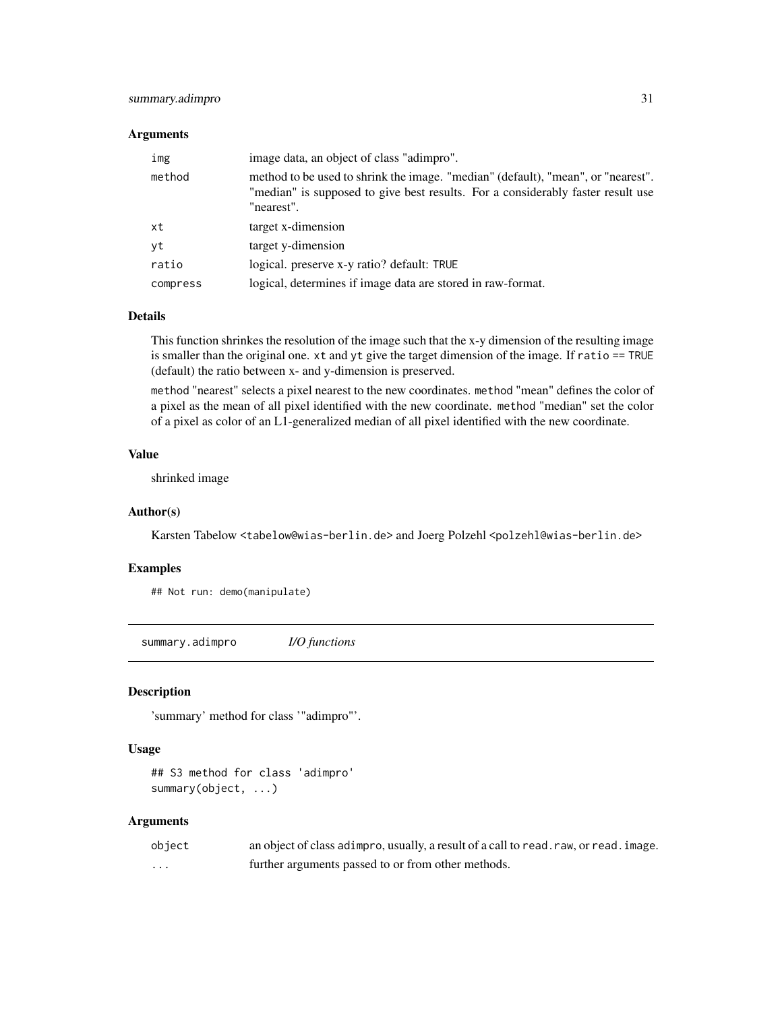## <span id="page-30-0"></span>summary.adimpro 31

#### **Arguments**

| img      | image data, an object of class "adimpro".                                                                                                                                         |
|----------|-----------------------------------------------------------------------------------------------------------------------------------------------------------------------------------|
| method   | method to be used to shrink the image. "median" (default), "mean", or "nearest".<br>"median" is supposed to give best results. For a considerably faster result use<br>"nearest". |
| xt       | target x-dimension                                                                                                                                                                |
| yt       | target y-dimension                                                                                                                                                                |
| ratio    | logical, preserve x-y ratio? default: TRUE                                                                                                                                        |
| compress | logical, determines if image data are stored in raw-format.                                                                                                                       |

#### Details

This function shrinkes the resolution of the image such that the x-y dimension of the resulting image is smaller than the original one. xt and yt give the target dimension of the image. If ratio == TRUE (default) the ratio between x- and y-dimension is preserved.

method "nearest" selects a pixel nearest to the new coordinates. method "mean" defines the color of a pixel as the mean of all pixel identified with the new coordinate. method "median" set the color of a pixel as color of an L1-generalized median of all pixel identified with the new coordinate.

#### Value

shrinked image

#### Author(s)

Karsten Tabelow <tabelow@wias-berlin.de> and Joerg Polzehl <polzehl@wias-berlin.de>

#### Examples

## Not run: demo(manipulate)

<span id="page-30-1"></span>summary.adimpro *I/O functions*

#### Description

'summary' method for class '"adimpro"'.

#### Usage

## S3 method for class 'adimpro' summary(object, ...)

| object | an object of class adimpro, usually, a result of a call to read. raw, or read. image. |
|--------|---------------------------------------------------------------------------------------|
| .      | further arguments passed to or from other methods.                                    |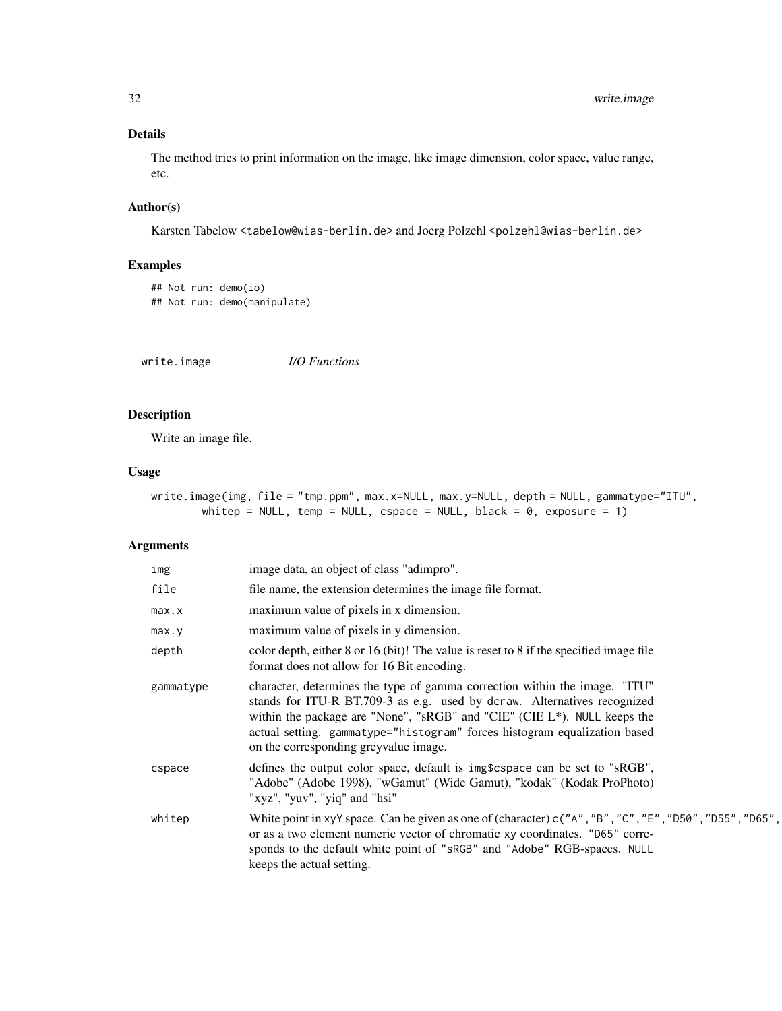## Details

The method tries to print information on the image, like image dimension, color space, value range, etc.

## Author(s)

Karsten Tabelow <tabelow@wias-berlin.de> and Joerg Polzehl <polzehl@wias-berlin.de>

## Examples

```
## Not run: demo(io)
## Not run: demo(manipulate)
```
<span id="page-31-1"></span>write.image *I/O Functions*

## Description

Write an image file.

#### Usage

```
write.image(img, file = "tmp.ppm", max.x=NULL, max.y=NULL, depth = NULL, gammatype="ITU",
        whitep = NULL, temp = NULL, cspace = NULL, black = 0, exposure = 1)
```

| img       | image data, an object of class "adimpro".                                                                                                                                                                                                                                                                                                                    |
|-----------|--------------------------------------------------------------------------------------------------------------------------------------------------------------------------------------------------------------------------------------------------------------------------------------------------------------------------------------------------------------|
| file      | file name, the extension determines the image file format.                                                                                                                                                                                                                                                                                                   |
| max.x     | maximum value of pixels in x dimension.                                                                                                                                                                                                                                                                                                                      |
| max.y     | maximum value of pixels in y dimension.                                                                                                                                                                                                                                                                                                                      |
| depth     | color depth, either 8 or 16 (bit)! The value is reset to 8 if the specified image file<br>format does not allow for 16 Bit encoding.                                                                                                                                                                                                                         |
| gammatype | character, determines the type of gamma correction within the image. "ITU"<br>stands for ITU-R BT.709-3 as e.g. used by dcraw. Alternatives recognized<br>within the package are "None", "sRGB" and "CIE" (CIE $L^*$ ). NULL keeps the<br>actual setting. gammatype="histogram" forces histogram equalization based<br>on the corresponding greyvalue image. |
| cspace    | defines the output color space, default is img\$cspace can be set to "sRGB",<br>"Adobe" (Adobe 1998), "wGamut" (Wide Gamut), "kodak" (Kodak ProPhoto)<br>"xyz", "yuv", "yiq" and "hsi"                                                                                                                                                                       |
| whitep    | White point in xyY space. Can be given as one of (character) $c("A", "B", "C", "E", "D50", "D55", "D65",$<br>or as a two element numeric vector of chromatic xy coordinates. "D65" corre-<br>sponds to the default white point of "sRGB" and "Adobe" RGB-spaces. NULL<br>keeps the actual setting.                                                           |

<span id="page-31-0"></span>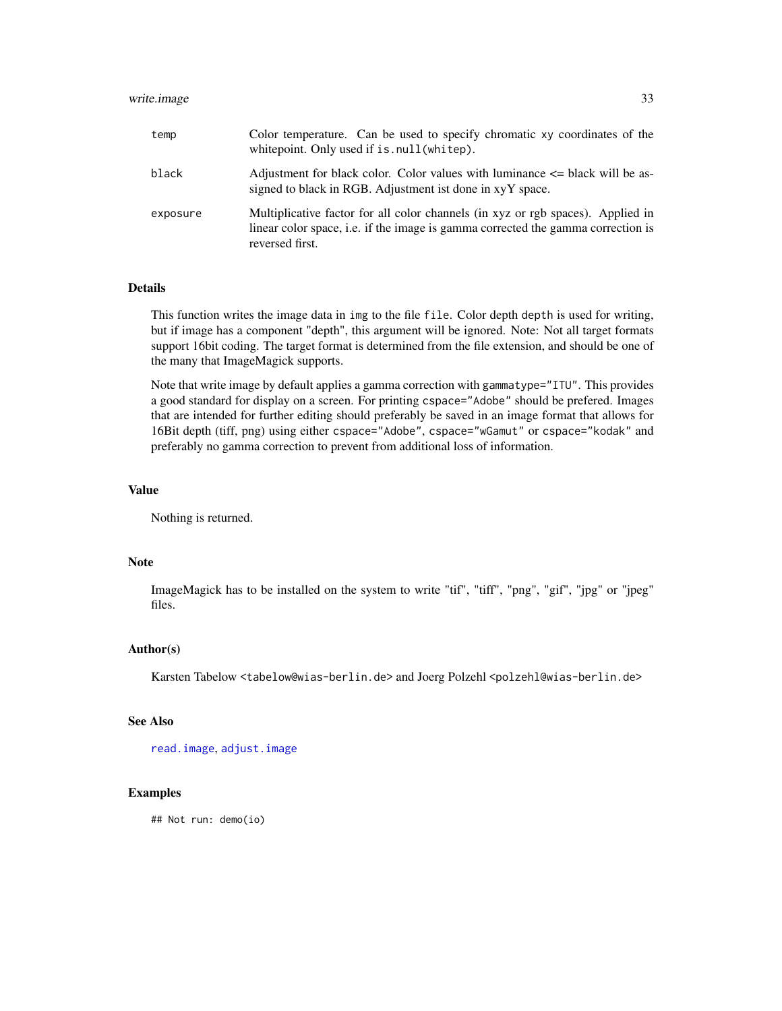## <span id="page-32-0"></span>write.image 33

| temp     | Color temperature. Can be used to specify chromatic xy coordinates of the<br>whitepoint. Only used if is . null (whitep).                                                              |
|----------|----------------------------------------------------------------------------------------------------------------------------------------------------------------------------------------|
| black    | Adjustment for black color. Color values with luminance $\leq$ black will be as-<br>signed to black in RGB. Adjustment ist done in xyY space.                                          |
| exposure | Multiplicative factor for all color channels (in xyz or rgb spaces). Applied in<br>linear color space, i.e. if the image is gamma corrected the gamma correction is<br>reversed first. |

#### Details

This function writes the image data in img to the file file. Color depth depth is used for writing, but if image has a component "depth", this argument will be ignored. Note: Not all target formats support 16bit coding. The target format is determined from the file extension, and should be one of the many that ImageMagick supports.

Note that write image by default applies a gamma correction with gammatype="ITU". This provides a good standard for display on a screen. For printing cspace="Adobe" should be prefered. Images that are intended for further editing should preferably be saved in an image format that allows for 16Bit depth (tiff, png) using either cspace="Adobe", cspace="wGamut" or cspace="kodak" and preferably no gamma correction to prevent from additional loss of information.

## Value

Nothing is returned.

## Note

ImageMagick has to be installed on the system to write "tif", "tiff", "png", "gif", "jpg" or "jpeg" files.

#### Author(s)

Karsten Tabelow <tabelow@wias-berlin.de> and Joerg Polzehl <polzehl@wias-berlin.de>

#### See Also

[read.image](#page-1-1), [adjust.image](#page-4-1)

## Examples

## Not run: demo(io)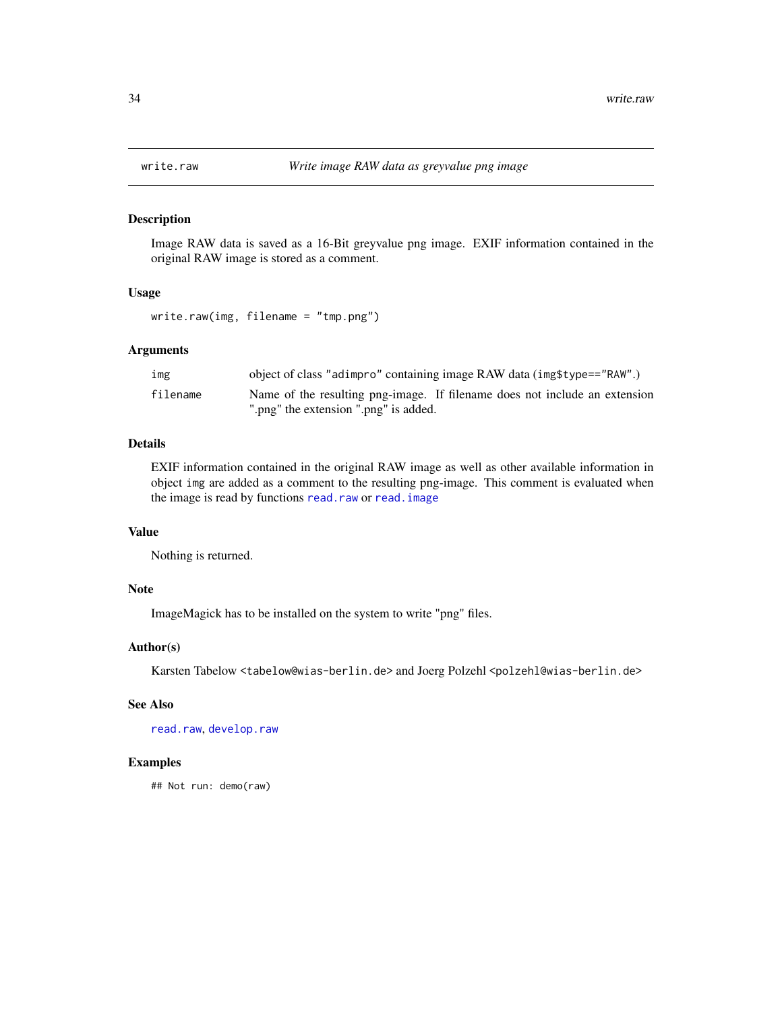#### Description

Image RAW data is saved as a 16-Bit greyvalue png image. EXIF information contained in the original RAW image is stored as a comment.

#### Usage

write.raw(img, filename = "tmp.png")

## Arguments

| ımg      | object of class "adimpro" containing image RAW data (img \$type=="RAW".)   |
|----------|----------------------------------------------------------------------------|
| filename | Name of the resulting png-image. If filename does not include an extension |
|          | ".png" the extension ".png" is added.                                      |

## Details

EXIF information contained in the original RAW image as well as other available information in object img are added as a comment to the resulting png-image. This comment is evaluated when the image is read by functions [read.raw](#page-1-1) or [read.image](#page-1-1)

#### Value

Nothing is returned.

#### Note

ImageMagick has to be installed on the system to write "png" files.

#### Author(s)

Karsten Tabelow <tabelow@wias-berlin.de> and Joerg Polzehl <polzehl@wias-berlin.de>

## See Also

[read.raw](#page-1-1), [develop.raw](#page-14-1)

## Examples

## Not run: demo(raw)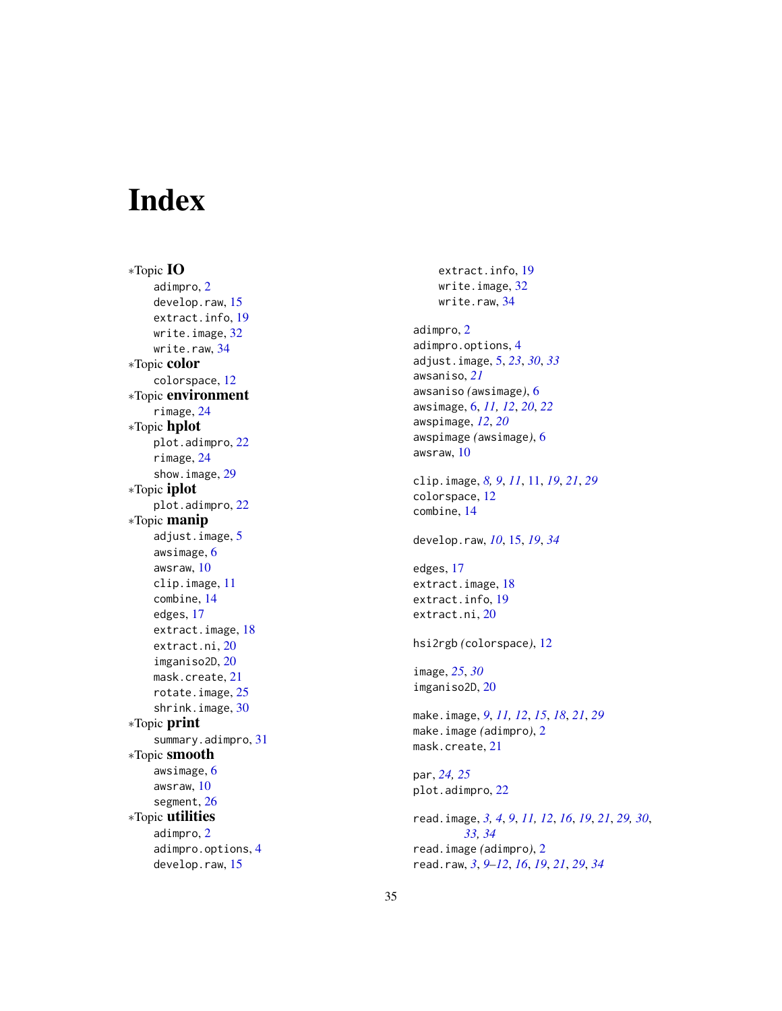# <span id="page-34-0"></span>Index

∗Topic IO adimpro , [2](#page-1-0) develop.raw, [15](#page-14-0) extract.info , [19](#page-18-0) write.image, [32](#page-31-0) write.raw , [34](#page-33-0) ∗Topic color colorspace , [12](#page-11-0) ∗Topic environment rimage , [24](#page-23-0) ∗Topic hplot plot.adimpro , [22](#page-21-0) rimage , [24](#page-23-0) show.image , [29](#page-28-0) ∗Topic iplot plot.adimpro , [22](#page-21-0) ∗Topic manip adjust.image, [5](#page-4-0) awsimage , [6](#page-5-0) awsraw , [10](#page-9-0) clip.image , [11](#page-10-0) combine , [14](#page-13-0) edges , [17](#page-16-0) extract.image, [18](#page-17-0) extract.ni , [20](#page-19-0) imganiso2D , [20](#page-19-0) mask.create, [21](#page-20-0) rotate.image, [25](#page-24-0) shrink.image, [30](#page-29-0) ∗Topic print summary.adimpro , [31](#page-30-0) ∗Topic smooth awsimage , [6](#page-5-0) awsraw , [10](#page-9-0) segment, [26](#page-25-0) ∗Topic utilities adimpro , [2](#page-1-0) adimpro.options , [4](#page-3-0) develop.raw , [15](#page-14-0)

extract.info , [19](#page-18-0) write.image, [32](#page-31-0) write.raw , [34](#page-33-0) adimpro , [2](#page-1-0) adimpro.options , [4](#page-3-0) adjust.image , [5](#page-4-0) , *[23](#page-22-0)* , *[30](#page-29-0)* , *[33](#page-32-0)* awsaniso , *[21](#page-20-0)* awsaniso *(*awsimage *)* , [6](#page-5-0) awsimage , [6](#page-5-0) , *[11](#page-10-0) , [12](#page-11-0)* , *[20](#page-19-0)* , *[22](#page-21-0)* awspimage , *[12](#page-11-0)* , *[20](#page-19-0)* awspimage *(*awsimage *)* , [6](#page-5-0) awsraw , [10](#page-9-0) clip.image , *[8](#page-7-0) , [9](#page-8-0)* , *[11](#page-10-0)* , [11](#page-10-0) , *[19](#page-18-0)* , *[21](#page-20-0)* , *[29](#page-28-0)* colorspace , [12](#page-11-0) combine , [14](#page-13-0) develop.raw , *[10](#page-9-0)* , [15](#page-14-0) , *[19](#page-18-0)* , *[34](#page-33-0)* edges , [17](#page-16-0) extract.image, [18](#page-17-0) extract.info , [19](#page-18-0) extract.ni, $20\,$  $20\,$ hsi2rgb *(*colorspace *)* , [12](#page-11-0) image , *[25](#page-24-0)* , *[30](#page-29-0)* imganiso2D , [20](#page-19-0) make.image , *[9](#page-8-0)* , *[11](#page-10-0) , [12](#page-11-0)* , *[15](#page-14-0)* , *[18](#page-17-0)* , *[21](#page-20-0)* , *[29](#page-28-0)* make.image *(*adimpro *)* , [2](#page-1-0) mask.create , [21](#page-20-0) par , *[24](#page-23-0) , [25](#page-24-0)* plot.adimpro , [22](#page-21-0) read.image, [3](#page-2-0), [4](#page-3-0), [9](#page-8-0), [11](#page-10-0), [12](#page-11-0), [16](#page-15-0), [19](#page-18-0), [21](#page-20-0), [29](#page-28-0), [30](#page-29-0), *[33](#page-32-0) , [34](#page-33-0)* read.image *(*adimpro *)* , [2](#page-1-0) read.raw , *[3](#page-2-0)* , *[9](#page-8-0) [–12](#page-11-0)* , *[16](#page-15-0)* , *[19](#page-18-0)* , *[21](#page-20-0)* , *[29](#page-28-0)* , *[34](#page-33-0)*